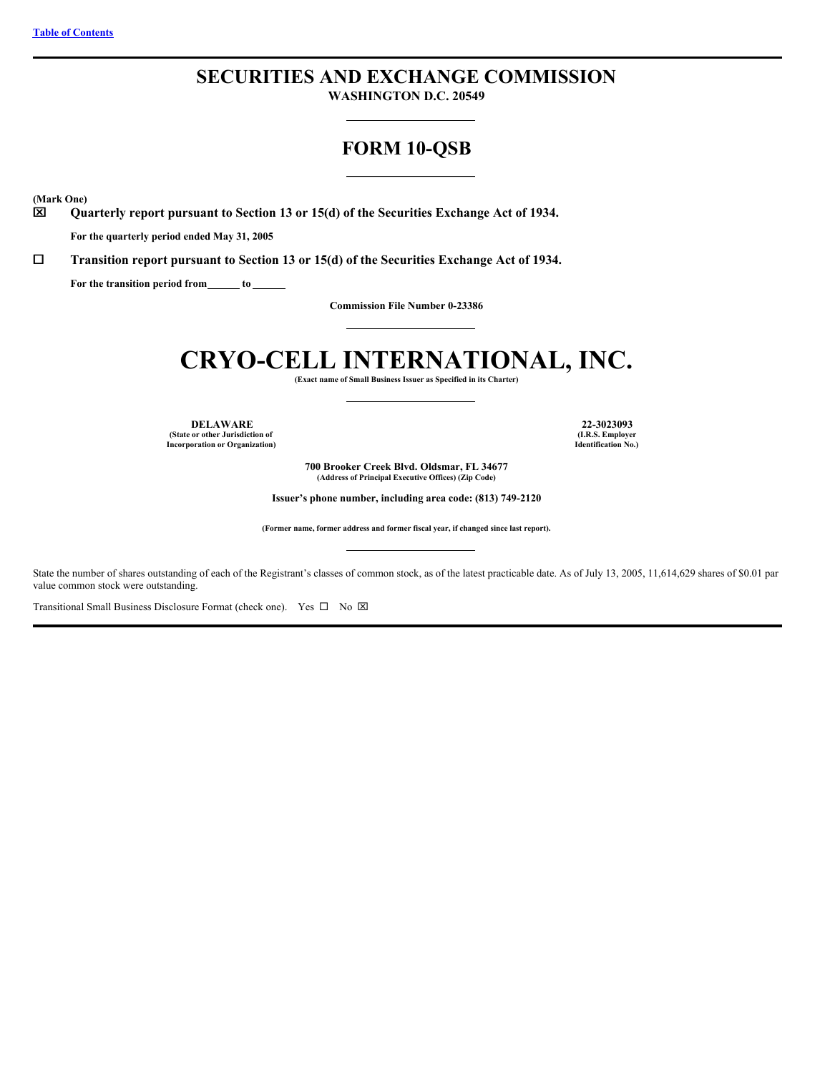## **SECURITIES AND EXCHANGE COMMISSION**

**WASHINGTON D.C. 20549**

## **FORM 10-QSB**

**(Mark One)**

x **Quarterly report pursuant to Section 13 or 15(d) of the Securities Exchange Act of 1934.**

**For the quarterly period ended May 31, 2005**

¨ **Transition report pursuant to Section 13 or 15(d) of the Securities Exchange Act of 1934.**

**For the transition period from to**

**Commission File Number 0-23386**

# **CRYO-CELL INTERNATIONAL, INC.**

**(Exact name of Small Business Issuer as Specified in its Charter)**

**DELAWARE 22-3023093 (State or other Jurisdiction of Incorporation or Organization)**

**(I.R.S. Employer Identification No.)**

**700 Brooker Creek Blvd. Oldsmar, FL 34677 (Address of Principal Executive Offices) (Zip Code)**

**Issuer's phone number, including area code: (813) 749-2120**

**(Former name, former address and former fiscal year, if changed since last report).**

State the number of shares outstanding of each of the Registrant's classes of common stock, as of the latest practicable date. As of July 13, 2005, 11,614,629 shares of \$0.01 par value common stock were outstanding.

Transitional Small Business Disclosure Format (check one). Yes  $\Box$  No  $\boxtimes$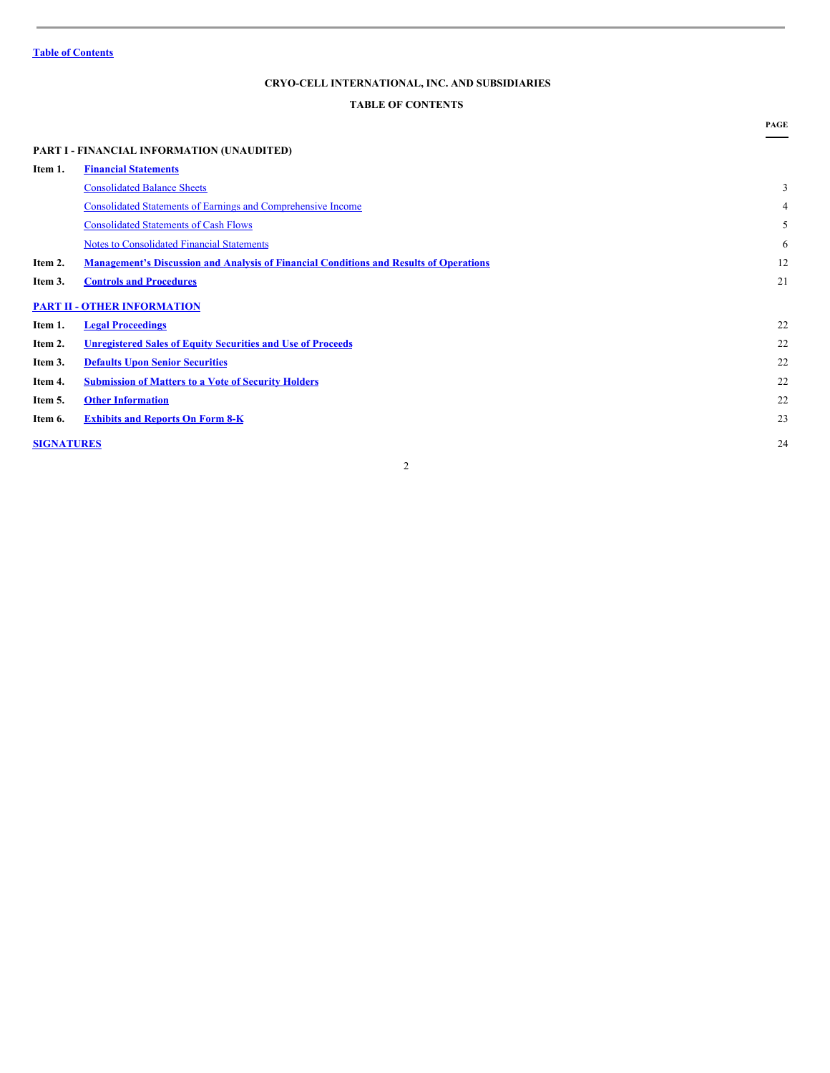## <span id="page-1-0"></span>**CRYO-CELL INTERNATIONAL, INC. AND SUBSIDIARIES**

## **TABLE OF CONTENTS**

**PAGE**

## **PART I - FINANCIAL INFORMATION (UNAUDITED) Item 1. Financial [Statements](#page-2-0) [Consolidated](#page-2-1) Balance Sheets** 3 Consolidated Statements of Earnings and [Comprehensive](#page-3-0) Income 4 [Consolidated](#page-4-0) Statements of Cash Flows 5 Notes to [Consolidated](#page-5-0) Financial Statements 6 **Item 2. [Management's](#page-11-0) Discussion and Analysis of Financial Conditions and Results of Operations** 12 **Item 3. Controls and [Procedures](#page-20-0)** 21 **PART II - OTHER [INFORMATION](#page-21-0) Item 1. Legal [Proceedings](#page-21-1)** 22 **Item 2. [Unregistered](#page-21-2) Sales of Equity Securities and Use of Proceeds** 22 **Item 3. Defaults Upon Senior [Securities](#page-21-3)** 22 **Item 4. [Submission](#page-21-4) of Matters to a Vote of Security Holders** 22 **Item 5. Other [Information](#page-21-5)** 22 **Item 6. [Exhibits](#page-22-0) and Reports On Form 8-K** 23 **[SIGNATURES](#page-23-0)** 24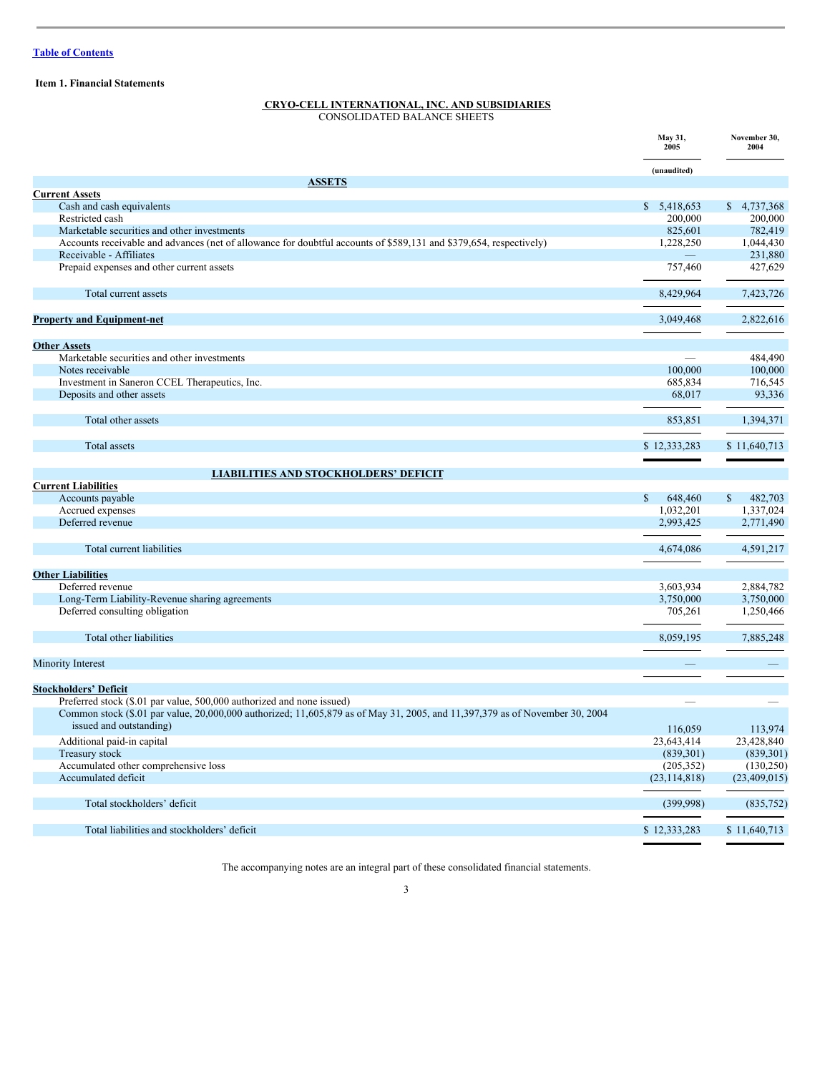<span id="page-2-0"></span>**Item 1. Financial Statements**

## <span id="page-2-1"></span>**CRYO-CELL INTERNATIONAL, INC. AND SUBSIDIARIES**

CONSOLIDATED BALANCE SHEETS

|                                                                                                                                                                                                      | May 31,<br>2005         | November 30,<br>2004    |
|------------------------------------------------------------------------------------------------------------------------------------------------------------------------------------------------------|-------------------------|-------------------------|
|                                                                                                                                                                                                      | (unaudited)             |                         |
| <b>ASSETS</b>                                                                                                                                                                                        |                         |                         |
| <b>Current Assets</b>                                                                                                                                                                                |                         |                         |
| Cash and cash equivalents                                                                                                                                                                            | \$5,418,653             | \$4,737,368             |
| Restricted cash                                                                                                                                                                                      | 200,000                 | 200,000                 |
| Marketable securities and other investments                                                                                                                                                          | 825,601                 | 782,419                 |
| Accounts receivable and advances (net of allowance for doubtful accounts of \$589,131 and \$379,654, respectively)                                                                                   | 1,228,250               | 1,044,430               |
| Receivable - Affiliates                                                                                                                                                                              |                         | 231,880                 |
| Prepaid expenses and other current assets                                                                                                                                                            | 757,460                 | 427,629                 |
| Total current assets                                                                                                                                                                                 | 8,429,964               | 7,423,726               |
| <b>Property and Equipment-net</b>                                                                                                                                                                    | 3,049,468               | 2,822,616               |
| <b>Other Assets</b>                                                                                                                                                                                  |                         |                         |
| Marketable securities and other investments                                                                                                                                                          |                         | 484,490                 |
| Notes receivable                                                                                                                                                                                     | 100,000                 | 100,000                 |
| Investment in Saneron CCEL Therapeutics, Inc.                                                                                                                                                        | 685.834                 | 716,545                 |
| Deposits and other assets                                                                                                                                                                            | 68,017                  | 93,336                  |
| Total other assets                                                                                                                                                                                   | 853,851                 | 1,394,371               |
| <b>Total assets</b>                                                                                                                                                                                  | \$12,333,283            | \$11,640,713            |
| <b>LIABILITIES AND STOCKHOLDERS' DEFICIT</b>                                                                                                                                                         |                         |                         |
| <b>Current Liabilities</b>                                                                                                                                                                           |                         |                         |
| Accounts payable                                                                                                                                                                                     | $\mathbb{S}$<br>648,460 | $\mathbb{S}$<br>482,703 |
| Accrued expenses                                                                                                                                                                                     | 1,032,201               | 1,337,024               |
| Deferred revenue                                                                                                                                                                                     | 2,993,425               | 2,771,490               |
| Total current liabilities                                                                                                                                                                            | 4,674,086               | 4,591,217               |
| <b>Other Liabilities</b>                                                                                                                                                                             |                         |                         |
| Deferred revenue                                                                                                                                                                                     | 3,603,934               | 2,884,782               |
| Long-Term Liability-Revenue sharing agreements                                                                                                                                                       | 3,750,000               | 3,750,000               |
| Deferred consulting obligation                                                                                                                                                                       | 705,261                 | 1,250,466               |
|                                                                                                                                                                                                      |                         |                         |
| Total other liabilities                                                                                                                                                                              | 8,059,195               | 7,885,248               |
| <b>Minority Interest</b>                                                                                                                                                                             |                         |                         |
|                                                                                                                                                                                                      |                         |                         |
| <b>Stockholders' Deficit</b>                                                                                                                                                                         |                         |                         |
| Preferred stock (\$.01 par value, 500,000 authorized and none issued)<br>Common stock (\$.01 par value, 20,000,000 authorized; 11,605,879 as of May 31, 2005, and 11,397,379 as of November 30, 2004 |                         |                         |
| issued and outstanding)                                                                                                                                                                              | 116,059                 | 113,974                 |
| Additional paid-in capital                                                                                                                                                                           | 23,643,414              | 23,428,840              |
| Treasury stock                                                                                                                                                                                       | (839, 301)              | (839, 301)              |
| Accumulated other comprehensive loss                                                                                                                                                                 | (205, 352)              | (130, 250)              |
| Accumulated deficit                                                                                                                                                                                  | (23, 114, 818)          | (23,409,015)            |
| Total stockholders' deficit                                                                                                                                                                          | (399, 998)              | (835,752)               |
| Total liabilities and stockholders' deficit                                                                                                                                                          | \$12,333,283            | \$11,640,713            |
|                                                                                                                                                                                                      |                         |                         |

The accompanying notes are an integral part of these consolidated financial statements.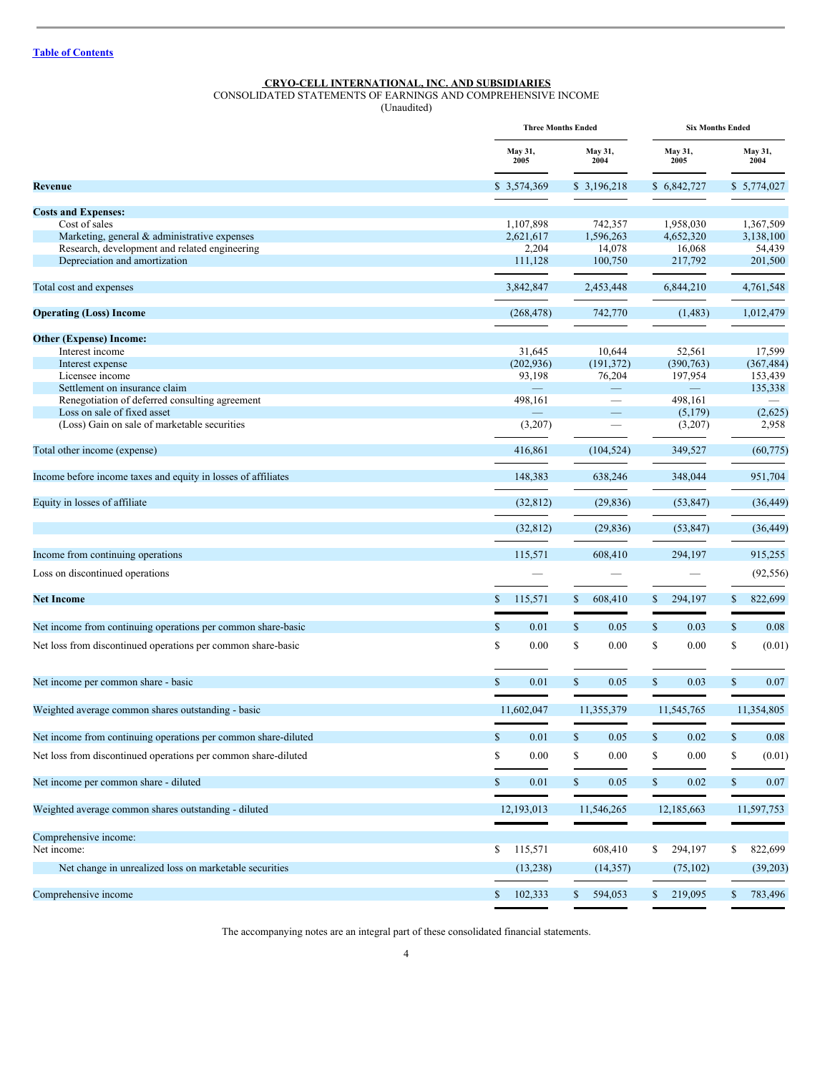## <span id="page-3-0"></span>**CRYO-CELL INTERNATIONAL, INC. AND SUBSIDIARIES**

## CONSOLIDATED STATEMENTS OF EARNINGS AND COMPREHENSIVE INCOME

(Unaudited)

|                                                                |                         | <b>Three Months Ended</b> |                          |              | <b>Six Months Ended</b> |              |                 |  |  |  |  |  |  |  |  |  |  |  |  |  |  |  |  |  |  |  |  |  |  |  |  |  |         |  |           |
|----------------------------------------------------------------|-------------------------|---------------------------|--------------------------|--------------|-------------------------|--------------|-----------------|--|--|--|--|--|--|--|--|--|--|--|--|--|--|--|--|--|--|--|--|--|--|--|--|--|---------|--|-----------|
|                                                                | May 31,<br>2005         |                           | May 31,<br>2004          |              | May 31,<br>2005         |              | May 31,<br>2004 |  |  |  |  |  |  |  |  |  |  |  |  |  |  |  |  |  |  |  |  |  |  |  |  |  |         |  |           |
| Revenue                                                        | \$3,574,369             |                           | \$3,196,218              |              | \$6,842,727             |              | \$5,774,027     |  |  |  |  |  |  |  |  |  |  |  |  |  |  |  |  |  |  |  |  |  |  |  |  |  |         |  |           |
| <b>Costs and Expenses:</b>                                     |                         |                           |                          |              |                         |              |                 |  |  |  |  |  |  |  |  |  |  |  |  |  |  |  |  |  |  |  |  |  |  |  |  |  |         |  |           |
| Cost of sales                                                  | 1,107,898               |                           | 742,357                  |              | 1,958,030               |              | 1,367,509       |  |  |  |  |  |  |  |  |  |  |  |  |  |  |  |  |  |  |  |  |  |  |  |  |  |         |  |           |
| Marketing, general & administrative expenses                   | 2,621,617               |                           | 1,596,263                |              | 4,652,320               |              | 3,138,100       |  |  |  |  |  |  |  |  |  |  |  |  |  |  |  |  |  |  |  |  |  |  |  |  |  |         |  |           |
| Research, development and related engineering                  | 2,204                   |                           | 14,078                   |              | 16,068                  |              | 54,439          |  |  |  |  |  |  |  |  |  |  |  |  |  |  |  |  |  |  |  |  |  |  |  |  |  |         |  |           |
| Depreciation and amortization                                  | 111,128                 |                           | 100,750                  |              | 217,792                 |              | 201,500         |  |  |  |  |  |  |  |  |  |  |  |  |  |  |  |  |  |  |  |  |  |  |  |  |  |         |  |           |
| Total cost and expenses                                        | 3,842,847               |                           | 2,453,448                | 6,844,210    |                         |              | 4,761,548       |  |  |  |  |  |  |  |  |  |  |  |  |  |  |  |  |  |  |  |  |  |  |  |  |  |         |  |           |
| <b>Operating (Loss) Income</b>                                 | (268, 478)              |                           | 742,770                  |              | (1,483)                 |              | 1,012,479       |  |  |  |  |  |  |  |  |  |  |  |  |  |  |  |  |  |  |  |  |  |  |  |  |  |         |  |           |
| <b>Other (Expense) Income:</b>                                 |                         |                           |                          |              |                         |              |                 |  |  |  |  |  |  |  |  |  |  |  |  |  |  |  |  |  |  |  |  |  |  |  |  |  |         |  |           |
| Interest income                                                | 31,645                  |                           | 10,644                   |              | 52,561                  |              | 17,599          |  |  |  |  |  |  |  |  |  |  |  |  |  |  |  |  |  |  |  |  |  |  |  |  |  |         |  |           |
| Interest expense                                               | (202, 936)              |                           | (191, 372)               |              | (390, 763)              |              | (367, 484)      |  |  |  |  |  |  |  |  |  |  |  |  |  |  |  |  |  |  |  |  |  |  |  |  |  |         |  |           |
| Licensee income                                                | 93,198                  |                           | 76,204                   |              | 197,954                 |              | 153,439         |  |  |  |  |  |  |  |  |  |  |  |  |  |  |  |  |  |  |  |  |  |  |  |  |  |         |  |           |
| Settlement on insurance claim                                  |                         |                           | $\qquad \qquad -$        |              |                         |              | 135,338         |  |  |  |  |  |  |  |  |  |  |  |  |  |  |  |  |  |  |  |  |  |  |  |  |  |         |  |           |
| Renegotiation of deferred consulting agreement                 | 498,161                 |                           | $\overline{\phantom{m}}$ |              | 498,161                 |              |                 |  |  |  |  |  |  |  |  |  |  |  |  |  |  |  |  |  |  |  |  |  |  |  |  |  |         |  |           |
| Loss on sale of fixed asset                                    |                         |                           |                          |              | (5,179)                 |              | (2,625)         |  |  |  |  |  |  |  |  |  |  |  |  |  |  |  |  |  |  |  |  |  |  |  |  |  |         |  |           |
| (Loss) Gain on sale of marketable securities                   | (3,207)                 |                           |                          |              | (3,207)                 |              | 2,958           |  |  |  |  |  |  |  |  |  |  |  |  |  |  |  |  |  |  |  |  |  |  |  |  |  |         |  |           |
| Total other income (expense)                                   | 416,861                 |                           | (104, 524)               |              |                         |              |                 |  |  |  |  |  |  |  |  |  |  |  |  |  |  |  |  |  |  |  |  |  |  |  |  |  | 349,527 |  | (60, 775) |
| Income before income taxes and equity in losses of affiliates  | 148,383                 |                           | 638,246                  | 348,044      |                         |              | 951,704         |  |  |  |  |  |  |  |  |  |  |  |  |  |  |  |  |  |  |  |  |  |  |  |  |  |         |  |           |
| Equity in losses of affiliate                                  | (32, 812)               |                           | (29, 836)                |              | (53, 847)               |              | (36, 449)       |  |  |  |  |  |  |  |  |  |  |  |  |  |  |  |  |  |  |  |  |  |  |  |  |  |         |  |           |
|                                                                | (32, 812)               |                           | (29, 836)                | (53, 847)    |                         | (36, 449)    |                 |  |  |  |  |  |  |  |  |  |  |  |  |  |  |  |  |  |  |  |  |  |  |  |  |  |         |  |           |
| Income from continuing operations                              |                         | 115,571                   |                          | 294,197      |                         | 915,255      |                 |  |  |  |  |  |  |  |  |  |  |  |  |  |  |  |  |  |  |  |  |  |  |  |  |  |         |  |           |
|                                                                |                         |                           | 608,410                  |              |                         |              |                 |  |  |  |  |  |  |  |  |  |  |  |  |  |  |  |  |  |  |  |  |  |  |  |  |  |         |  |           |
| Loss on discontinued operations                                |                         |                           |                          |              |                         |              | (92, 556)       |  |  |  |  |  |  |  |  |  |  |  |  |  |  |  |  |  |  |  |  |  |  |  |  |  |         |  |           |
| <b>Net Income</b>                                              | \$<br>115,571           | $\mathbb{S}$              | 608,410                  | S            | 294,197                 | S            | 822,699         |  |  |  |  |  |  |  |  |  |  |  |  |  |  |  |  |  |  |  |  |  |  |  |  |  |         |  |           |
| Net income from continuing operations per common share-basic   | $\mathbb{S}$            | 0.01<br>$\mathbb{S}$      | 0.05                     | \$           | 0.03                    | $\mathbb{S}$ | 0.08            |  |  |  |  |  |  |  |  |  |  |  |  |  |  |  |  |  |  |  |  |  |  |  |  |  |         |  |           |
| Net loss from discontinued operations per common share-basic   | \$                      | \$<br>0.00                | 0.00                     | S            | 0.00                    | $\mathbf S$  | (0.01)          |  |  |  |  |  |  |  |  |  |  |  |  |  |  |  |  |  |  |  |  |  |  |  |  |  |         |  |           |
| Net income per common share - basic                            | \$.                     | 0.01<br>\$.               | 0.05                     | S.           | 0.03                    | \$           | 0.07            |  |  |  |  |  |  |  |  |  |  |  |  |  |  |  |  |  |  |  |  |  |  |  |  |  |         |  |           |
| Weighted average common shares outstanding - basic             | 11,602,047              |                           | 11,355,379               | 11,545,765   |                         | 11,354,805   |                 |  |  |  |  |  |  |  |  |  |  |  |  |  |  |  |  |  |  |  |  |  |  |  |  |  |         |  |           |
|                                                                |                         |                           |                          |              |                         |              |                 |  |  |  |  |  |  |  |  |  |  |  |  |  |  |  |  |  |  |  |  |  |  |  |  |  |         |  |           |
| Net income from continuing operations per common share-diluted | \$                      | $\$$<br>0.01              | 0.05                     | $\mathbb{S}$ | 0.02                    | $\mathbb S$  | 0.08            |  |  |  |  |  |  |  |  |  |  |  |  |  |  |  |  |  |  |  |  |  |  |  |  |  |         |  |           |
| Net loss from discontinued operations per common share-diluted | \$                      | 0.00<br>\$                | 0.00                     | \$           | 0.00                    | \$           | (0.01)          |  |  |  |  |  |  |  |  |  |  |  |  |  |  |  |  |  |  |  |  |  |  |  |  |  |         |  |           |
| Net income per common share - diluted                          | \$                      | \$<br>0.01                | 0.05                     | \$           | 0.02                    | $\mathbb{S}$ | 0.07            |  |  |  |  |  |  |  |  |  |  |  |  |  |  |  |  |  |  |  |  |  |  |  |  |  |         |  |           |
| Weighted average common shares outstanding - diluted           | 12,193,013              |                           | 11,546,265               |              | 12,185,663              | 11,597,753   |                 |  |  |  |  |  |  |  |  |  |  |  |  |  |  |  |  |  |  |  |  |  |  |  |  |  |         |  |           |
| Comprehensive income:                                          |                         |                           |                          |              |                         |              |                 |  |  |  |  |  |  |  |  |  |  |  |  |  |  |  |  |  |  |  |  |  |  |  |  |  |         |  |           |
| Net income:                                                    | 115,571<br>\$           |                           | 608,410                  | \$           | 294,197                 | \$           | 822,699         |  |  |  |  |  |  |  |  |  |  |  |  |  |  |  |  |  |  |  |  |  |  |  |  |  |         |  |           |
| Net change in unrealized loss on marketable securities         | (13, 238)               |                           | (14, 357)                |              | (75, 102)               |              | (39,203)        |  |  |  |  |  |  |  |  |  |  |  |  |  |  |  |  |  |  |  |  |  |  |  |  |  |         |  |           |
| Comprehensive income                                           | 102,333<br>$\mathbb{S}$ |                           | 594,053<br>$\mathbb{S}$  | \$           | 219,095                 | $\mathbb{S}$ | 783,496         |  |  |  |  |  |  |  |  |  |  |  |  |  |  |  |  |  |  |  |  |  |  |  |  |  |         |  |           |

The accompanying notes are an integral part of these consolidated financial statements.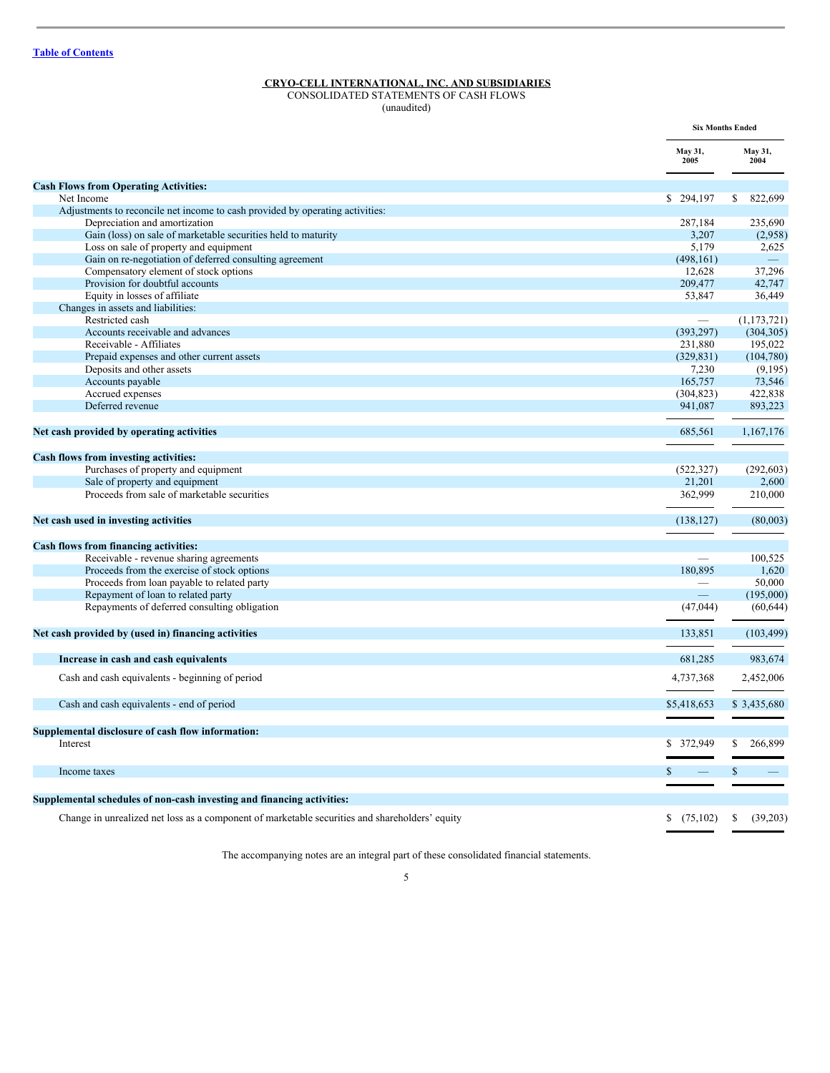## <span id="page-4-0"></span>**CRYO-CELL INTERNATIONAL, INC. AND SUBSIDIARIES**

#### CONSOLIDATED STATEMENTS OF CASH FLOWS (unaudited)

|                                                                                                |                          | <b>Six Months Ended</b> |
|------------------------------------------------------------------------------------------------|--------------------------|-------------------------|
|                                                                                                |                          | May 31,<br>2004         |
| <b>Cash Flows from Operating Activities:</b>                                                   |                          |                         |
| Net Income<br>Adjustments to reconcile net income to cash provided by operating activities:    | \$294,197                | 822,699<br>\$           |
| Depreciation and amortization                                                                  | 287,184                  | 235,690                 |
| Gain (loss) on sale of marketable securities held to maturity                                  | 3,207                    | (2,958)                 |
| Loss on sale of property and equipment                                                         | 5,179                    | 2,625                   |
| Gain on re-negotiation of deferred consulting agreement                                        | (498, 161)               |                         |
| Compensatory element of stock options                                                          | 12,628                   | 37,296                  |
| Provision for doubtful accounts                                                                | 209,477                  | 42,747                  |
| Equity in losses of affiliate                                                                  | 53,847                   | 36,449                  |
| Changes in assets and liabilities:                                                             |                          |                         |
| Restricted cash                                                                                |                          | (1,173,721)             |
| Accounts receivable and advances                                                               | (393, 297)               | (304, 305)              |
| Receivable - Affiliates                                                                        | 231,880                  | 195,022                 |
| Prepaid expenses and other current assets                                                      | (329, 831)               | (104, 780)              |
| Deposits and other assets                                                                      | 7,230                    | (9,195)                 |
| Accounts payable                                                                               | 165,757                  | 73,546                  |
| Accrued expenses                                                                               | (304, 823)               | 422,838                 |
| Deferred revenue                                                                               | 941,087                  | 893,223                 |
| Net cash provided by operating activities                                                      | 685,561                  | 1,167,176               |
| Cash flows from investing activities:                                                          |                          |                         |
| Purchases of property and equipment                                                            | (522, 327)               | (292, 603)              |
| Sale of property and equipment                                                                 | 21,201                   | 2,600                   |
| Proceeds from sale of marketable securities                                                    | 362,999                  | 210,000                 |
| Net cash used in investing activities                                                          | (138, 127)               | (80,003)                |
| Cash flows from financing activities:                                                          |                          |                         |
| Receivable - revenue sharing agreements                                                        |                          | 100.525                 |
| Proceeds from the exercise of stock options                                                    | 180,895                  | 1,620                   |
| Proceeds from loan payable to related party                                                    | $\overline{\phantom{m}}$ | 50,000                  |
| Repayment of loan to related party                                                             | $\equiv$                 | (195,000)               |
| Repayments of deferred consulting obligation                                                   | (47, 044)                | (60, 644)               |
| Net cash provided by (used in) financing activities                                            | 133.851                  | (103, 499)              |
| Increase in cash and cash equivalents                                                          | 681,285                  | 983,674                 |
| Cash and cash equivalents - beginning of period                                                | 4,737,368                | 2,452,006               |
| Cash and cash equivalents - end of period                                                      | \$5,418,653              | \$3,435,680             |
|                                                                                                |                          |                         |
| Supplemental disclosure of cash flow information:                                              |                          |                         |
| Interest                                                                                       | \$ 372,949               | 266,899<br>\$           |
| Income taxes                                                                                   |                          | \$.                     |
| Supplemental schedules of non-cash investing and financing activities:                         |                          |                         |
|                                                                                                |                          |                         |
| Change in unrealized net loss as a component of marketable securities and shareholders' equity | \$(75,102)               | (39,203)<br>\$          |

The accompanying notes are an integral part of these consolidated financial statements.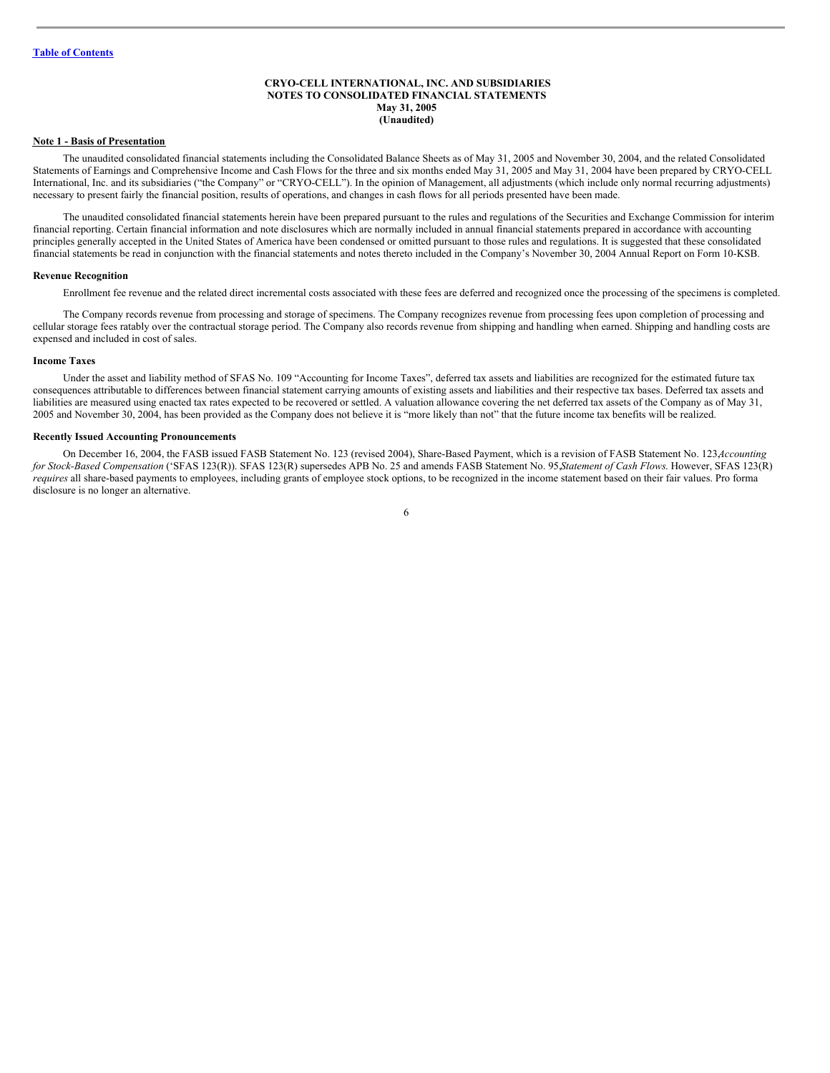## <span id="page-5-0"></span>**CRYO-CELL INTERNATIONAL, INC. AND SUBSIDIARIES NOTES TO CONSOLIDATED FINANCIAL STATEMENTS May 31, 2005 (Unaudited)**

## **Note 1 - Basis of Presentation**

The unaudited consolidated financial statements including the Consolidated Balance Sheets as of May 31, 2005 and November 30, 2004, and the related Consolidated Statements of Earnings and Comprehensive Income and Cash Flows for the three and six months ended May 31, 2005 and May 31, 2004 have been prepared by CRYO-CELL International, Inc. and its subsidiaries ("the Company" or "CRYO-CELL"). In the opinion of Management, all adjustments (which include only normal recurring adjustments) necessary to present fairly the financial position, results of operations, and changes in cash flows for all periods presented have been made.

The unaudited consolidated financial statements herein have been prepared pursuant to the rules and regulations of the Securities and Exchange Commission for interim financial reporting. Certain financial information and note disclosures which are normally included in annual financial statements prepared in accordance with accounting principles generally accepted in the United States of America have been condensed or omitted pursuant to those rules and regulations. It is suggested that these consolidated financial statements be read in conjunction with the financial statements and notes thereto included in the Company's November 30, 2004 Annual Report on Form 10-KSB.

## **Revenue Recognition**

Enrollment fee revenue and the related direct incremental costs associated with these fees are deferred and recognized once the processing of the specimens is completed.

The Company records revenue from processing and storage of specimens. The Company recognizes revenue from processing fees upon completion of processing and cellular storage fees ratably over the contractual storage period. The Company also records revenue from shipping and handling when earned. Shipping and handling costs are expensed and included in cost of sales.

## **Income Taxes**

Under the asset and liability method of SFAS No. 109 "Accounting for Income Taxes", deferred tax assets and liabilities are recognized for the estimated future tax consequences attributable to differences between financial statement carrying amounts of existing assets and liabilities and their respective tax bases. Deferred tax assets and liabilities are measured using enacted tax rates expected to be recovered or settled. A valuation allowance covering the net deferred tax assets of the Company as of May 31, 2005 and November 30, 2004, has been provided as the Company does not believe it is "more likely than not" that the future income tax benefits will be realized.

## **Recently Issued Accounting Pronouncements**

On December 16, 2004, the FASB issued FASB Statement No. 123 (revised 2004), Share-Based Payment, which is a revision of FASB Statement No. 123,*Accounting for Stock-Based Compensation* ('SFAS 123(R)). SFAS 123(R) supersedes APB No. 25 and amends FASB Statement No. 95,*Statement of Cash Flows*. However, SFAS 123(R) *requires* all share-based payments to employees, including grants of employee stock options, to be recognized in the income statement based on their fair values. Pro forma disclosure is no longer an alternative.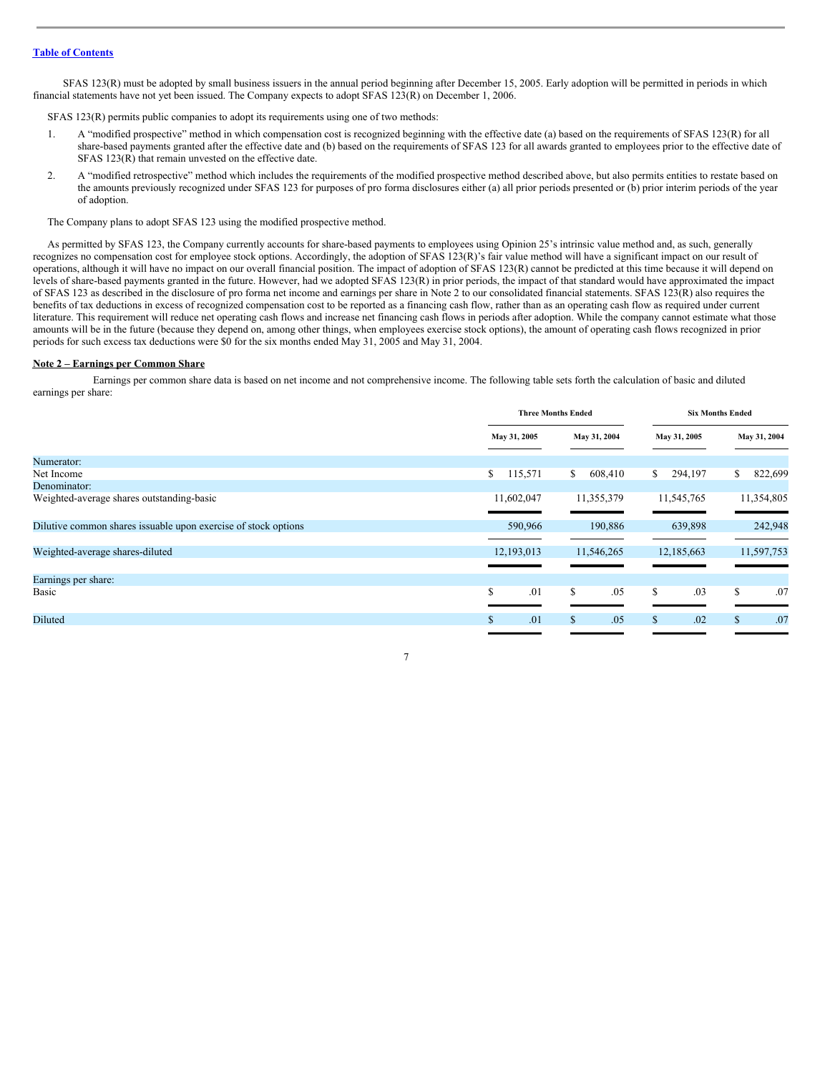SFAS 123(R) must be adopted by small business issuers in the annual period beginning after December 15, 2005. Early adoption will be permitted in periods in which financial statements have not yet been issued. The Company expects to adopt SFAS 123(R) on December 1, 2006.

SFAS 123(R) permits public companies to adopt its requirements using one of two methods:

- 1. A "modified prospective" method in which compensation cost is recognized beginning with the effective date (a) based on the requirements of SFAS 123(R) for all share-based payments granted after the effective date and (b) based on the requirements of SFAS 123 for all awards granted to employees prior to the effective date of SFAS 123(R) that remain unvested on the effective date.
- 2. A "modified retrospective" method which includes the requirements of the modified prospective method described above, but also permits entities to restate based on the amounts previously recognized under SFAS 123 for purposes of pro forma disclosures either (a) all prior periods presented or (b) prior interim periods of the year of adoption.

The Company plans to adopt SFAS 123 using the modified prospective method.

As permitted by SFAS 123, the Company currently accounts for share-based payments to employees using Opinion 25's intrinsic value method and, as such, generally recognizes no compensation cost for employee stock options. Accordingly, the adoption of SFAS 123(R)'s fair value method will have a significant impact on our result of operations, although it will have no impact on our overall financial position. The impact of adoption of SFAS 123(R) cannot be predicted at this time because it will depend on levels of share-based payments granted in the future. However, had we adopted SFAS 123(R) in prior periods, the impact of that standard would have approximated the impact of SFAS 123 as described in the disclosure of pro forma net income and earnings per share in Note 2 to our consolidated financial statements. SFAS 123(R) also requires the benefits of tax deductions in excess of recognized compensation cost to be reported as a financing cash flow, rather than as an operating cash flow as required under current literature. This requirement will reduce net operating cash flows and increase net financing cash flows in periods after adoption. While the company cannot estimate what those amounts will be in the future (because they depend on, among other things, when employees exercise stock options), the amount of operating cash flows recognized in prior periods for such excess tax deductions were \$0 for the six months ended May 31, 2005 and May 31, 2004.

## **Note 2 – Earnings per Common Share**

Earnings per common share data is based on net income and not comprehensive income. The following table sets forth the calculation of basic and diluted earnings per share:

|                                                                | <b>Three Months Ended</b>    |         |              |         | <b>Six Months Ended</b> |         |               |         |  |  |  |  |  |  |  |  |  |  |  |  |  |  |  |  |  |  |  |  |  |  |  |  |  |  |  |  |  |  |  |  |  |  |  |  |  |  |  |  |  |  |  |  |  |  |  |  |  |  |  |            |  |            |
|----------------------------------------------------------------|------------------------------|---------|--------------|---------|-------------------------|---------|---------------|---------|--|--|--|--|--|--|--|--|--|--|--|--|--|--|--|--|--|--|--|--|--|--|--|--|--|--|--|--|--|--|--|--|--|--|--|--|--|--|--|--|--|--|--|--|--|--|--|--|--|--|--|------------|--|------------|
|                                                                | May 31, 2005<br>May 31, 2004 |         |              |         | May 31, 2005            |         | May 31, 2004  |         |  |  |  |  |  |  |  |  |  |  |  |  |  |  |  |  |  |  |  |  |  |  |  |  |  |  |  |  |  |  |  |  |  |  |  |  |  |  |  |  |  |  |  |  |  |  |  |  |  |  |  |            |  |            |
| Numerator:                                                     |                              |         |              |         |                         |         |               |         |  |  |  |  |  |  |  |  |  |  |  |  |  |  |  |  |  |  |  |  |  |  |  |  |  |  |  |  |  |  |  |  |  |  |  |  |  |  |  |  |  |  |  |  |  |  |  |  |  |  |  |            |  |            |
| Net Income                                                     | \$                           | 115,571 | S.           | 608,410 | S.                      | 294,197 | \$            | 822,699 |  |  |  |  |  |  |  |  |  |  |  |  |  |  |  |  |  |  |  |  |  |  |  |  |  |  |  |  |  |  |  |  |  |  |  |  |  |  |  |  |  |  |  |  |  |  |  |  |  |  |  |            |  |            |
| Denominator:                                                   |                              |         |              |         |                         |         |               |         |  |  |  |  |  |  |  |  |  |  |  |  |  |  |  |  |  |  |  |  |  |  |  |  |  |  |  |  |  |  |  |  |  |  |  |  |  |  |  |  |  |  |  |  |  |  |  |  |  |  |  |            |  |            |
| Weighted-average shares outstanding-basic                      | 11,602,047                   |         | 11,355,379   |         | 11,545,765              |         | 11,354,805    |         |  |  |  |  |  |  |  |  |  |  |  |  |  |  |  |  |  |  |  |  |  |  |  |  |  |  |  |  |  |  |  |  |  |  |  |  |  |  |  |  |  |  |  |  |  |  |  |  |  |  |  |            |  |            |
| Dilutive common shares issuable upon exercise of stock options | 590,966                      |         | 190,886      |         | 639,898                 |         | 242,948       |         |  |  |  |  |  |  |  |  |  |  |  |  |  |  |  |  |  |  |  |  |  |  |  |  |  |  |  |  |  |  |  |  |  |  |  |  |  |  |  |  |  |  |  |  |  |  |  |  |  |  |  |            |  |            |
| Weighted-average shares-diluted                                | 12,193,013                   |         |              |         | 11,546,265              |         |               |         |  |  |  |  |  |  |  |  |  |  |  |  |  |  |  |  |  |  |  |  |  |  |  |  |  |  |  |  |  |  |  |  |  |  |  |  |  |  |  |  |  |  |  |  |  |  |  |  |  |  |  | 12,185,663 |  | 11,597,753 |
| Earnings per share:                                            |                              |         |              |         |                         |         |               |         |  |  |  |  |  |  |  |  |  |  |  |  |  |  |  |  |  |  |  |  |  |  |  |  |  |  |  |  |  |  |  |  |  |  |  |  |  |  |  |  |  |  |  |  |  |  |  |  |  |  |  |            |  |            |
| <b>Basic</b>                                                   | Ŝ.                           | .01     | \$           | .05     | S                       | .03     | <sup>\$</sup> | .07     |  |  |  |  |  |  |  |  |  |  |  |  |  |  |  |  |  |  |  |  |  |  |  |  |  |  |  |  |  |  |  |  |  |  |  |  |  |  |  |  |  |  |  |  |  |  |  |  |  |  |  |            |  |            |
| Diluted                                                        |                              | .01     | $\mathbb{S}$ | .05     | $\mathbb{S}$            | .02     | $\mathbb{S}$  | .07     |  |  |  |  |  |  |  |  |  |  |  |  |  |  |  |  |  |  |  |  |  |  |  |  |  |  |  |  |  |  |  |  |  |  |  |  |  |  |  |  |  |  |  |  |  |  |  |  |  |  |  |            |  |            |

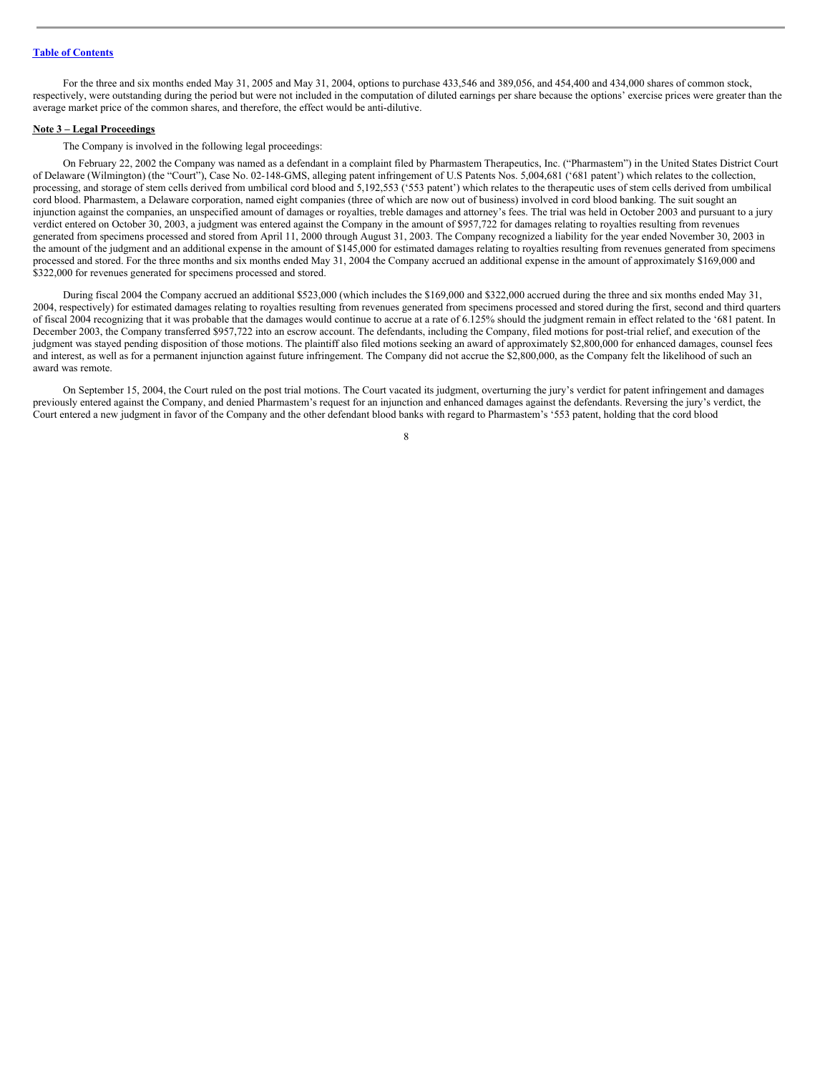For the three and six months ended May 31, 2005 and May 31, 2004, options to purchase 433,546 and 389,056, and 454,400 and 434,000 shares of common stock, respectively, were outstanding during the period but were not included in the computation of diluted earnings per share because the options' exercise prices were greater than the average market price of the common shares, and therefore, the effect would be anti-dilutive.

## **Note 3 – Legal Proceedings**

The Company is involved in the following legal proceedings:

On February 22, 2002 the Company was named as a defendant in a complaint filed by Pharmastem Therapeutics, Inc. ("Pharmastem") in the United States District Court of Delaware (Wilmington) (the "Court"), Case No. 02-148-GMS, alleging patent infringement of U.S Patents Nos. 5,004,681 ('681 patent') which relates to the collection, processing, and storage of stem cells derived from umbilical cord blood and 5,192,553 ('553 patent') which relates to the therapeutic uses of stem cells derived from umbilical cord blood. Pharmastem, a Delaware corporation, named eight companies (three of which are now out of business) involved in cord blood banking. The suit sought an injunction against the companies, an unspecified amount of damages or royalties, treble damages and attorney's fees. The trial was held in October 2003 and pursuant to a jury verdict entered on October 30, 2003, a judgment was entered against the Company in the amount of \$957,722 for damages relating to royalties resulting from revenues generated from specimens processed and stored from April 11, 2000 through August 31, 2003. The Company recognized a liability for the year ended November 30, 2003 in the amount of the judgment and an additional expense in the amount of \$145,000 for estimated damages relating to royalties resulting from revenues generated from specimens processed and stored. For the three months and six months ended May 31, 2004 the Company accrued an additional expense in the amount of approximately \$169,000 and  $$322,000$  for revenues generated for specimens processed and stored.

During fiscal 2004 the Company accrued an additional \$523,000 (which includes the \$169,000 and \$322,000 accrued during the three and six months ended May 31, 2004, respectively) for estimated damages relating to royalties resulting from revenues generated from specimens processed and stored during the first, second and third quarters of fiscal 2004 recognizing that it was probable that the damages would continue to accrue at a rate of 6.125% should the judgment remain in effect related to the '681 patent. In December 2003, the Company transferred \$957,722 into an escrow account. The defendants, including the Company, filed motions for post-trial relief, and execution of the judgment was stayed pending disposition of those motions. The plaintiff also filed motions seeking an award of approximately \$2,800,000 for enhanced damages, counsel fees and interest, as well as for a permanent injunction against future infringement. The Company did not accrue the \$2,800,000, as the Company felt the likelihood of such an award was remote.

On September 15, 2004, the Court ruled on the post trial motions. The Court vacated its judgment, overturning the jury's verdict for patent infringement and damages previously entered against the Company, and denied Pharmastem's request for an injunction and enhanced damages against the defendants. Reversing the jury's verdict, the Court entered a new judgment in favor of the Company and the other defendant blood banks with regard to Pharmastem's '553 patent, holding that the cord blood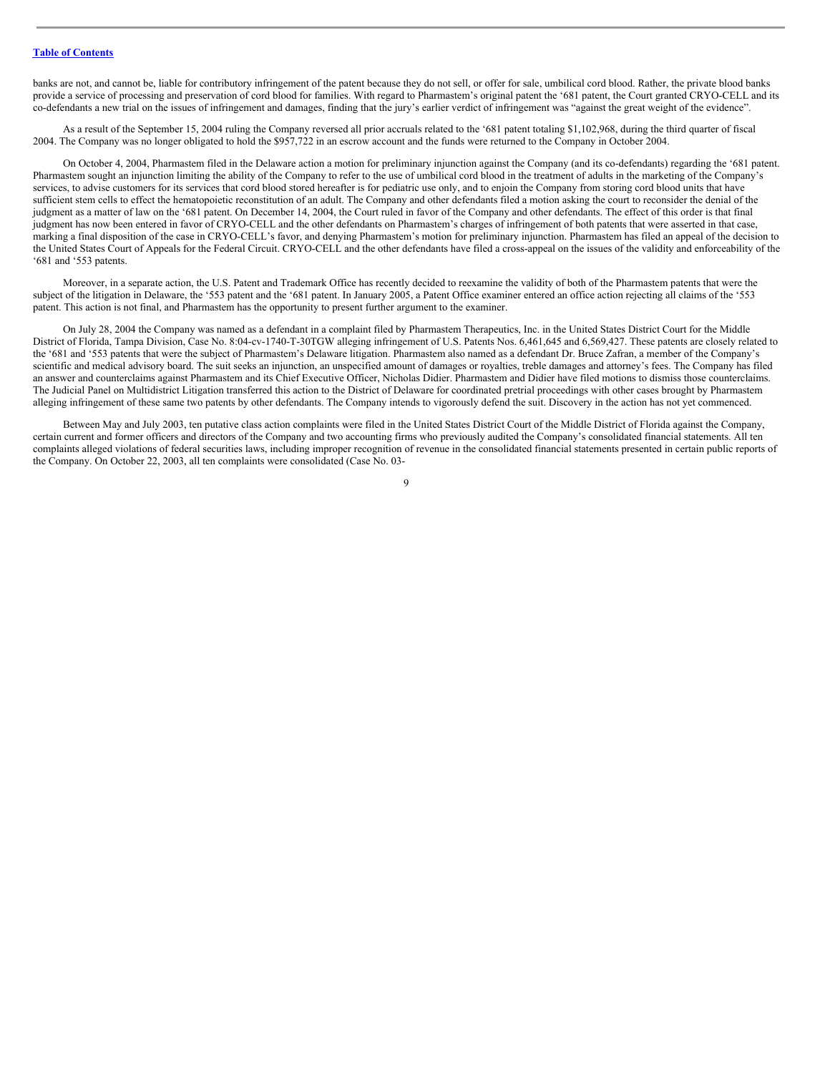banks are not, and cannot be, liable for contributory infringement of the patent because they do not sell, or offer for sale, umbilical cord blood. Rather, the private blood banks provide a service of processing and preservation of cord blood for families. With regard to Pharmastem's original patent the '681 patent, the Court granted CRYO-CELL and its co-defendants a new trial on the issues of infringement and damages, finding that the jury's earlier verdict of infringement was "against the great weight of the evidence".

As a result of the September 15, 2004 ruling the Company reversed all prior accruals related to the '681 patent totaling \$1,102,968, during the third quarter of fiscal 2004. The Company was no longer obligated to hold the \$957,722 in an escrow account and the funds were returned to the Company in October 2004.

On October 4, 2004, Pharmastem filed in the Delaware action a motion for preliminary injunction against the Company (and its co-defendants) regarding the '681 patent. Pharmastem sought an injunction limiting the ability of the Company to refer to the use of umbilical cord blood in the treatment of adults in the marketing of the Company's services, to advise customers for its services that cord blood stored hereafter is for pediatric use only, and to enjoin the Company from storing cord blood units that have sufficient stem cells to effect the hematopoietic reconstitution of an adult. The Company and other defendants filed a motion asking the court to reconsider the denial of the judgment as a matter of law on the '681 patent. On December 14, 2004, the Court ruled in favor of the Company and other defendants. The effect of this order is that final judgment has now been entered in favor of CRYO-CELL and the other defendants on Pharmastem's charges of infringement of both patents that were asserted in that case, marking a final disposition of the case in CRYO-CELL's favor, and denying Pharmastem's motion for preliminary injunction. Pharmastem has filed an appeal of the decision to the United States Court of Appeals for the Federal Circuit. CRYO-CELL and the other defendants have filed a cross-appeal on the issues of the validity and enforceability of the '681 and '553 patents.

Moreover, in a separate action, the U.S. Patent and Trademark Office has recently decided to reexamine the validity of both of the Pharmastem patents that were the subject of the litigation in Delaware, the '553 patent and the '681 patent. In January 2005, a Patent Office examiner entered an office action rejecting all claims of the '553 patent. This action is not final, and Pharmastem has the opportunity to present further argument to the examiner.

On July 28, 2004 the Company was named as a defendant in a complaint filed by Pharmastem Therapeutics, Inc. in the United States District Court for the Middle District of Florida, Tampa Division, Case No. 8:04-cv-1740-T-30TGW alleging infringement of U.S. Patents Nos. 6,461,645 and 6,569,427. These patents are closely related to the '681 and '553 patents that were the subject of Pharmastem's Delaware litigation. Pharmastem also named as a defendant Dr. Bruce Zafran, a member of the Company's scientific and medical advisory board. The suit seeks an injunction, an unspecified amount of damages or royalties, treble damages and attorney's fees. The Company has filed an answer and counterclaims against Pharmastem and its Chief Executive Officer, Nicholas Didier. Pharmastem and Didier have filed motions to dismiss those counterclaims. The Judicial Panel on Multidistrict Litigation transferred this action to the District of Delaware for coordinated pretrial proceedings with other cases brought by Pharmastem alleging infringement of these same two patents by other defendants. The Company intends to vigorously defend the suit. Discovery in the action has not yet commenced.

Between May and July 2003, ten putative class action complaints were filed in the United States District Court of the Middle District of Florida against the Company, certain current and former officers and directors of the Company and two accounting firms who previously audited the Company's consolidated financial statements. All ten complaints alleged violations of federal securities laws, including improper recognition of revenue in the consolidated financial statements presented in certain public reports of the Company. On October 22, 2003, all ten complaints were consolidated (Case No. 03-

 $\overline{Q}$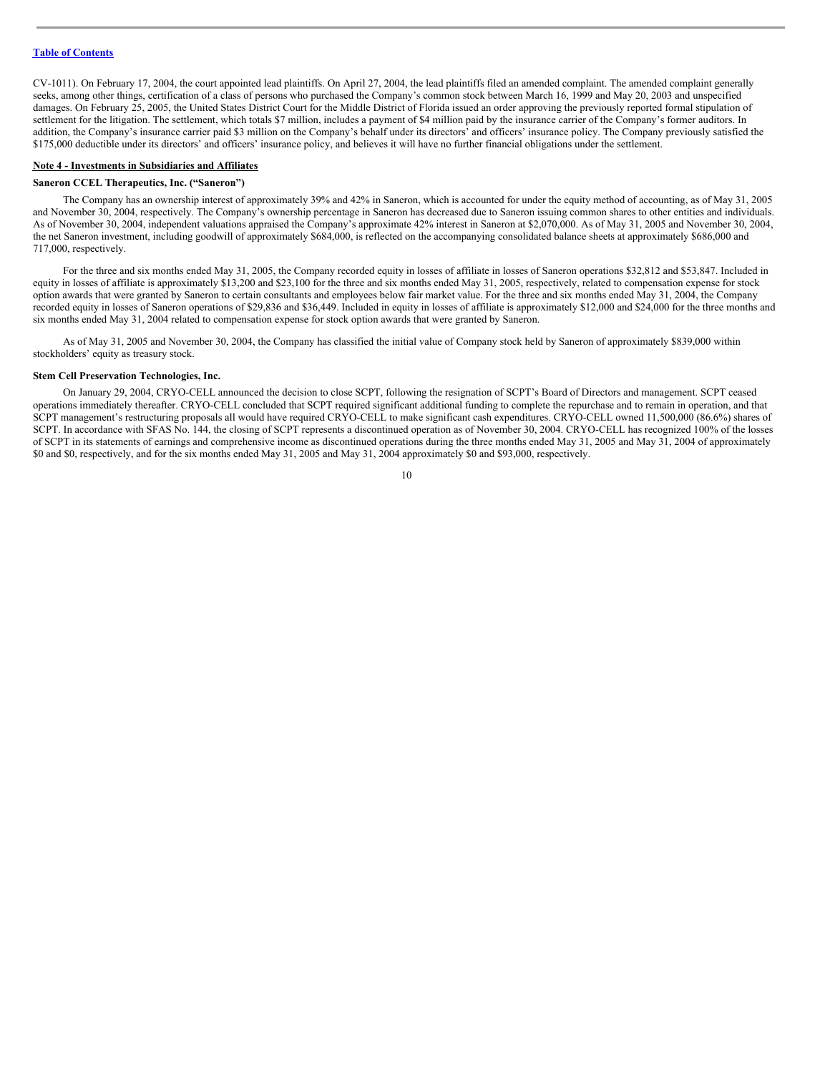CV-1011). On February 17, 2004, the court appointed lead plaintiffs. On April 27, 2004, the lead plaintiffs filed an amended complaint. The amended complaint generally seeks, among other things, certification of a class of persons who purchased the Company's common stock between March 16, 1999 and May 20, 2003 and unspecified damages. On February 25, 2005, the United States District Court for the Middle District of Florida issued an order approving the previously reported formal stipulation of settlement for the litigation. The settlement, which totals \$7 million, includes a payment of \$4 million paid by the insurance carrier of the Company's former auditors. In addition, the Company's insurance carrier paid \$3 million on the Company's behalf under its directors' and officers' insurance policy. The Company previously satisfied the \$175,000 deductible under its directors' and officers' insurance policy, and believes it will have no further financial obligations under the settlement.

#### **Note 4 - Investments in Subsidiaries and Affiliates**

## **Saneron CCEL Therapeutics, Inc. ("Saneron")**

The Company has an ownership interest of approximately 39% and 42% in Saneron, which is accounted for under the equity method of accounting, as of May 31, 2005 and November 30, 2004, respectively. The Company's ownership percentage in Saneron has decreased due to Saneron issuing common shares to other entities and individuals. As of November 30, 2004, independent valuations appraised the Company's approximate 42% interest in Saneron at \$2,070,000. As of May 31, 2005 and November 30, 2004, the net Saneron investment, including goodwill of approximately \$684,000, is reflected on the accompanying consolidated balance sheets at approximately \$686,000 and 717,000, respectively.

For the three and six months ended May 31, 2005, the Company recorded equity in losses of affiliate in losses of Saneron operations \$32,812 and \$53,847. Included in equity in losses of affiliate is approximately \$13,200 and \$23,100 for the three and six months ended May 31, 2005, respectively, related to compensation expense for stock option awards that were granted by Saneron to certain consultants and employees below fair market value. For the three and six months ended May 31, 2004, the Company recorded equity in losses of Saneron operations of \$29,836 and \$36,449. Included in equity in losses of affiliate is approximately \$12,000 and \$24,000 for the three months and six months ended May 31, 2004 related to compensation expense for stock option awards that were granted by Saneron.

As of May 31, 2005 and November 30, 2004, the Company has classified the initial value of Company stock held by Saneron of approximately \$839,000 within stockholders' equity as treasury stock.

### **Stem Cell Preservation Technologies, Inc.**

On January 29, 2004, CRYO-CELL announced the decision to close SCPT, following the resignation of SCPT's Board of Directors and management. SCPT ceased operations immediately thereafter. CRYO-CELL concluded that SCPT required significant additional funding to complete the repurchase and to remain in operation, and that SCPT management's restructuring proposals all would have required CRYO-CELL to make significant cash expenditures. CRYO-CELL owned 11,500,000 (86.6%) shares of SCPT. In accordance with SFAS No. 144, the closing of SCPT represents a discontinued operation as of November 30, 2004. CRYO-CELL has recognized 100% of the losses of SCPT in its statements of earnings and comprehensive income as discontinued operations during the three months ended May 31, 2005 and May 31, 2004 of approximately \$0 and \$0, respectively, and for the six months ended May 31, 2005 and May 31, 2004 approximately \$0 and \$93,000, respectively.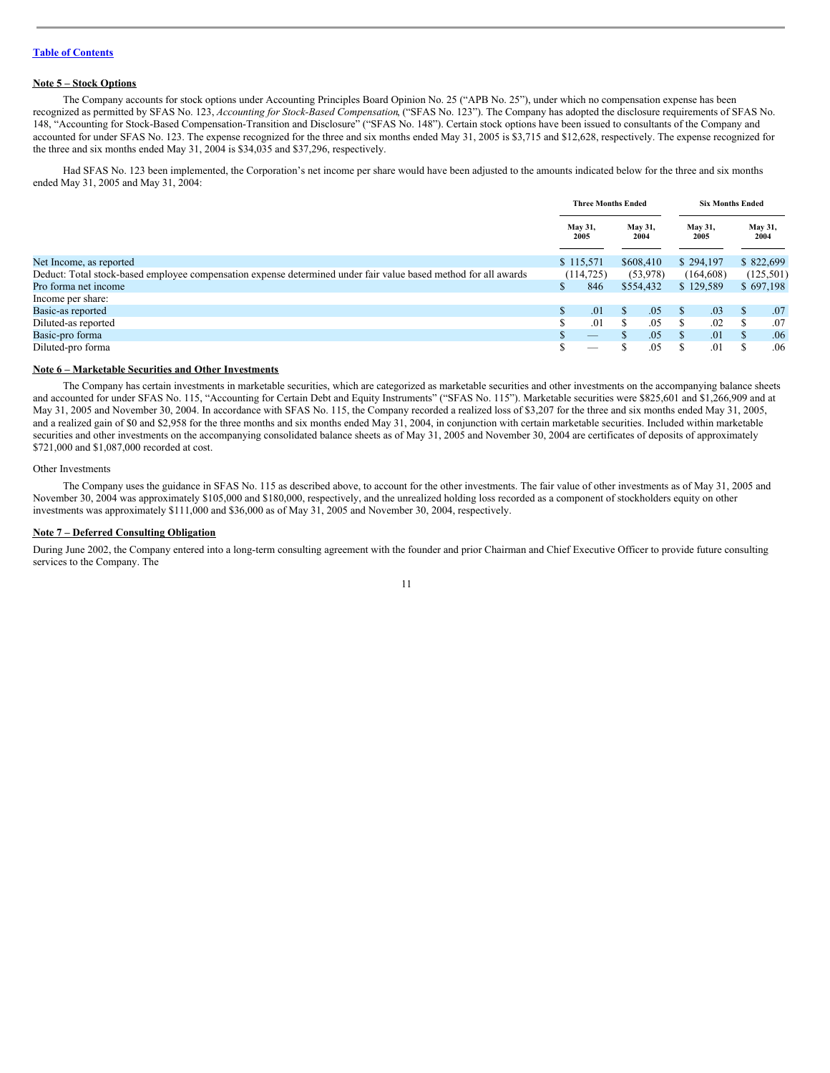## **Note 5 – Stock Options**

The Company accounts for stock options under Accounting Principles Board Opinion No. 25 ("APB No. 25"), under which no compensation expense has been recognized as permitted by SFAS No. 123, *Accounting for Stock-Based Compensation*, ("SFAS No. 123"). The Company has adopted the disclosure requirements of SFAS No. 148, "Accounting for Stock-Based Compensation-Transition and Disclosure" ("SFAS No. 148"). Certain stock options have been issued to consultants of the Company and accounted for under SFAS No. 123. The expense recognized for the three and six months ended May 31, 2005 is \$3,715 and \$12,628, respectively. The expense recognized for the three and six months ended May 31, 2004 is \$34,035 and \$37,296, respectively.

Had SFAS No. 123 been implemented, the Corporation's net income per share would have been adjusted to the amounts indicated below for the three and six months ended May 31, 2005 and May 31, 2004:

|                                                                                                                 | <b>Three Months Ended</b> |                                    |               |           | <b>Six Months Ended</b> |           |                 |           |
|-----------------------------------------------------------------------------------------------------------------|---------------------------|------------------------------------|---------------|-----------|-------------------------|-----------|-----------------|-----------|
|                                                                                                                 |                           | May 31,<br>May 31,<br>2005<br>2004 |               |           | May 31,<br>2005         |           | May 31,<br>2004 |           |
| Net Income, as reported                                                                                         |                           | \$115,571                          |               | \$608,410 |                         | \$294,197 |                 | \$822,699 |
| Deduct: Total stock-based employee compensation expense determined under fair value based method for all awards | (114, 725)                |                                    | (53,978)      |           | (164, 608)              |           | (125, 501)      |           |
| Pro forma net income                                                                                            | 846<br>ъ                  |                                    | \$554,432     |           | \$129,589               |           | \$697,198       |           |
| Income per share:                                                                                               |                           |                                    |               |           |                         |           |                 |           |
| Basic-as reported                                                                                               | \$                        | .01                                | <sup>\$</sup> | .05       | \$.                     | .03       | <sup>\$</sup>   | .07       |
| Diluted-as reported                                                                                             |                           | .01                                |               | .05       | S                       | .02       | S               | .07       |
| Basic-pro forma                                                                                                 |                           |                                    | S             | .05       | <b>S</b>                | .01       | \$              | .06       |
| Diluted-pro forma                                                                                               |                           | _                                  |               | .05       |                         | .01       | S               | .06       |

## **Note 6 – Marketable Securities and Other Investments**

The Company has certain investments in marketable securities, which are categorized as marketable securities and other investments on the accompanying balance sheets and accounted for under SFAS No. 115, "Accounting for Certain Debt and Equity Instruments" ("SFAS No. 115"). Marketable securities were \$825,601 and \$1,266,909 and at May 31, 2005 and November 30, 2004. In accordance with SFAS No. 115, the Company recorded a realized loss of \$3,207 for the three and six months ended May 31, 2005, and a realized gain of \$0 and \$2,958 for the three months and six months ended May 31, 2004, in conjunction with certain marketable securities. Included within marketable securities and other investments on the accompanying consolidated balance sheets as of May 31, 2005 and November 30, 2004 are certificates of deposits of approximately \$721,000 and \$1,087,000 recorded at cost.

## Other Investments

The Company uses the guidance in SFAS No. 115 as described above, to account for the other investments. The fair value of other investments as of May 31, 2005 and November 30, 2004 was approximately \$105,000 and \$180,000, respectively, and the unrealized holding loss recorded as a component of stockholders equity on other investments was approximately \$111,000 and \$36,000 as of May 31, 2005 and November 30, 2004, respectively.

#### **Note 7 – Deferred Consulting Obligation**

During June 2002, the Company entered into a long-term consulting agreement with the founder and prior Chairman and Chief Executive Officer to provide future consulting services to the Company. The

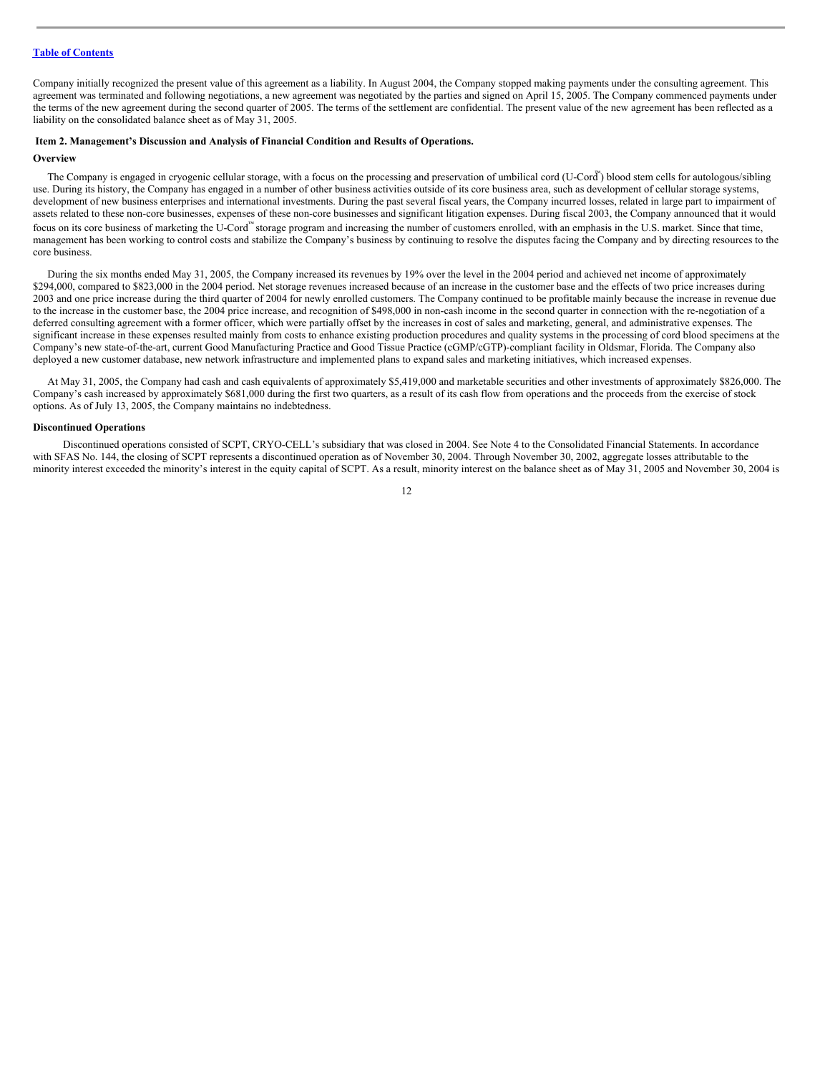Company initially recognized the present value of this agreement as a liability. In August 2004, the Company stopped making payments under the consulting agreement. This agreement was terminated and following negotiations, a new agreement was negotiated by the parties and signed on April 15, 2005. The Company commenced payments under the terms of the new agreement during the second quarter of 2005. The terms of the settlement are confidential. The present value of the new agreement has been reflected as a liability on the consolidated balance sheet as of May 31, 2005.

#### <span id="page-11-0"></span>**Item 2. Management's Discussion and Analysis of Financial Condition and Results of Operations.**

#### **Overview**

The Company is engaged in cryogenic cellular storage, with a focus on the processing and preservation of umbilical cord (U-Cord) blood stem cells for autologous/sibling use. During its history, the Company has engaged in a number of other business activities outside of its core business area, such as development of cellular storage systems, development of new business enterprises and international investments. During the past several fiscal years, the Company incurred losses, related in large part to impairment of assets related to these non-core businesses, expenses of these non-core businesses and significant litigation expenses. During fiscal 2003, the Company announced that it would focus on its core business of marketing the U-Cord™ storage program and increasing the number of customers enrolled, with an emphasis in the U.S. market. Since that time, management has been working to control costs and stabilize the Company's business by continuing to resolve the disputes facing the Company and by directing resources to the core business.

During the six months ended May 31, 2005, the Company increased its revenues by 19% over the level in the 2004 period and achieved net income of approximately \$294,000, compared to \$823,000 in the 2004 period. Net storage revenues increased because of an increase in the customer base and the effects of two price increases during 2003 and one price increase during the third quarter of 2004 for newly enrolled customers. The Company continued to be profitable mainly because the increase in revenue due to the increase in the customer base, the 2004 price increase, and recognition of \$498,000 in non-cash income in the second quarter in connection with the re-negotiation of a deferred consulting agreement with a former officer, which were partially offset by the increases in cost of sales and marketing, general, and administrative expenses. The significant increase in these expenses resulted mainly from costs to enhance existing production procedures and quality systems in the processing of cord blood specimens at the Company's new state-of-the-art, current Good Manufacturing Practice and Good Tissue Practice (cGMP/cGTP)-compliant facility in Oldsmar, Florida. The Company also deployed a new customer database, new network infrastructure and implemented plans to expand sales and marketing initiatives, which increased expenses.

At May 31, 2005, the Company had cash and cash equivalents of approximately \$5,419,000 and marketable securities and other investments of approximately \$826,000. The Company's cash increased by approximately \$681,000 during the first two quarters, as a result of its cash flow from operations and the proceeds from the exercise of stock options. As of July 13, 2005, the Company maintains no indebtedness.

## **Discontinued Operations**

Discontinued operations consisted of SCPT, CRYO-CELL's subsidiary that was closed in 2004. See Note 4 to the Consolidated Financial Statements. In accordance with SFAS No. 144, the closing of SCPT represents a discontinued operation as of November 30, 2004. Through November 30, 2002, aggregate losses attributable to the minority interest exceeded the minority's interest in the equity capital of SCPT. As a result, minority interest on the balance sheet as of May 31, 2005 and November 30, 2004 is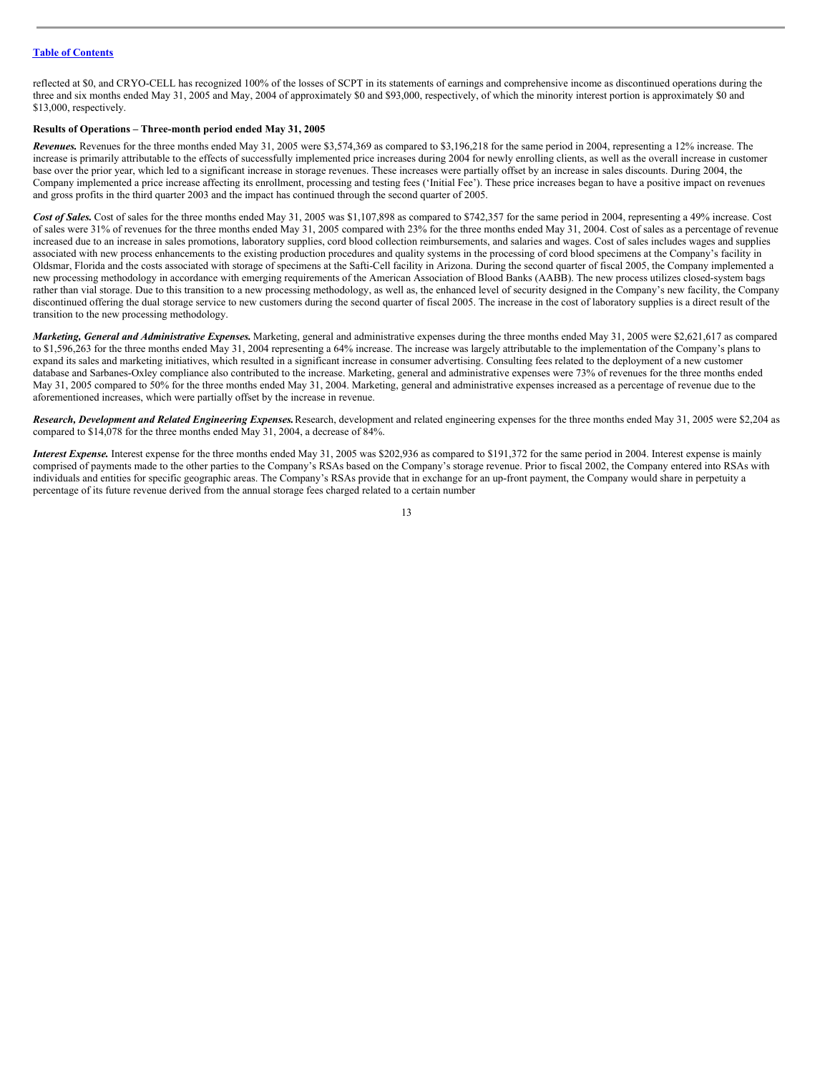reflected at \$0, and CRYO-CELL has recognized 100% of the losses of SCPT in its statements of earnings and comprehensive income as discontinued operations during the three and six months ended May 31, 2005 and May, 2004 of approximately \$0 and \$93,000, respectively, of which the minority interest portion is approximately \$0 and \$13,000, respectively.

## **Results of Operations – Three-month period ended May 31, 2005**

*Revenues.* Revenues for the three months ended May 31, 2005 were \$3,574,369 as compared to \$3,196,218 for the same period in 2004, representing a 12% increase. The increase is primarily attributable to the effects of successfully implemented price increases during 2004 for newly enrolling clients, as well as the overall increase in customer base over the prior year, which led to a significant increase in storage revenues. These increases were partially offset by an increase in sales discounts. During 2004, the Company implemented a price increase affecting its enrollment, processing and testing fees ('Initial Fee'). These price increases began to have a positive impact on revenues and gross profits in the third quarter 2003 and the impact has continued through the second quarter of 2005.

Cost of Sales. Cost of sales for the three months ended May 31, 2005 was \$1,107,898 as compared to \$742,357 for the same period in 2004, representing a 49% increase. Cost of sales were 31% of revenues for the three months ended May 31, 2005 compared with 23% for the three months ended May 31, 2004. Cost of sales as a percentage of revenue increased due to an increase in sales promotions, laboratory supplies, cord blood collection reimbursements, and salaries and wages. Cost of sales includes wages and supplies associated with new process enhancements to the existing production procedures and quality systems in the processing of cord blood specimens at the Company's facility in Oldsmar, Florida and the costs associated with storage of specimens at the Safti-Cell facility in Arizona. During the second quarter of fiscal 2005, the Company implemented a new processing methodology in accordance with emerging requirements of the American Association of Blood Banks (AABB). The new process utilizes closed-system bags rather than vial storage. Due to this transition to a new processing methodology, as well as, the enhanced level of security designed in the Company's new facility, the Company discontinued offering the dual storage service to new customers during the second quarter of fiscal 2005. The increase in the cost of laboratory supplies is a direct result of the transition to the new processing methodology.

*Marketing, General and Administrative Expenses.* Marketing, general and administrative expenses during the three months ended May 31, 2005 were \$2,621,617 as compared to \$1,596,263 for the three months ended May 31, 2004 representing a 64% increase. The increase was largely attributable to the implementation of the Company's plans to expand its sales and marketing initiatives, which resulted in a significant increase in consumer advertising. Consulting fees related to the deployment of a new customer database and Sarbanes-Oxley compliance also contributed to the increase. Marketing, general and administrative expenses were 73% of revenues for the three months ended May 31, 2005 compared to 50% for the three months ended May 31, 2004. Marketing, general and administrative expenses increased as a percentage of revenue due to the aforementioned increases, which were partially offset by the increase in revenue.

*Research, Development and Related Engineering Expenses.*Research, development and related engineering expenses for the three months ended May 31, 2005 were \$2,204 as compared to \$14,078 for the three months ended May 31, 2004, a decrease of 84%.

*Interest Expense.* Interest expense for the three months ended May 31, 2005 was \$202,936 as compared to \$191,372 for the same period in 2004. Interest expense is mainly comprised of payments made to the other parties to the Company's RSAs based on the Company's storage revenue. Prior to fiscal 2002, the Company entered into RSAs with individuals and entities for specific geographic areas. The Company's RSAs provide that in exchange for an up-front payment, the Company would share in perpetuity a percentage of its future revenue derived from the annual storage fees charged related to a certain number

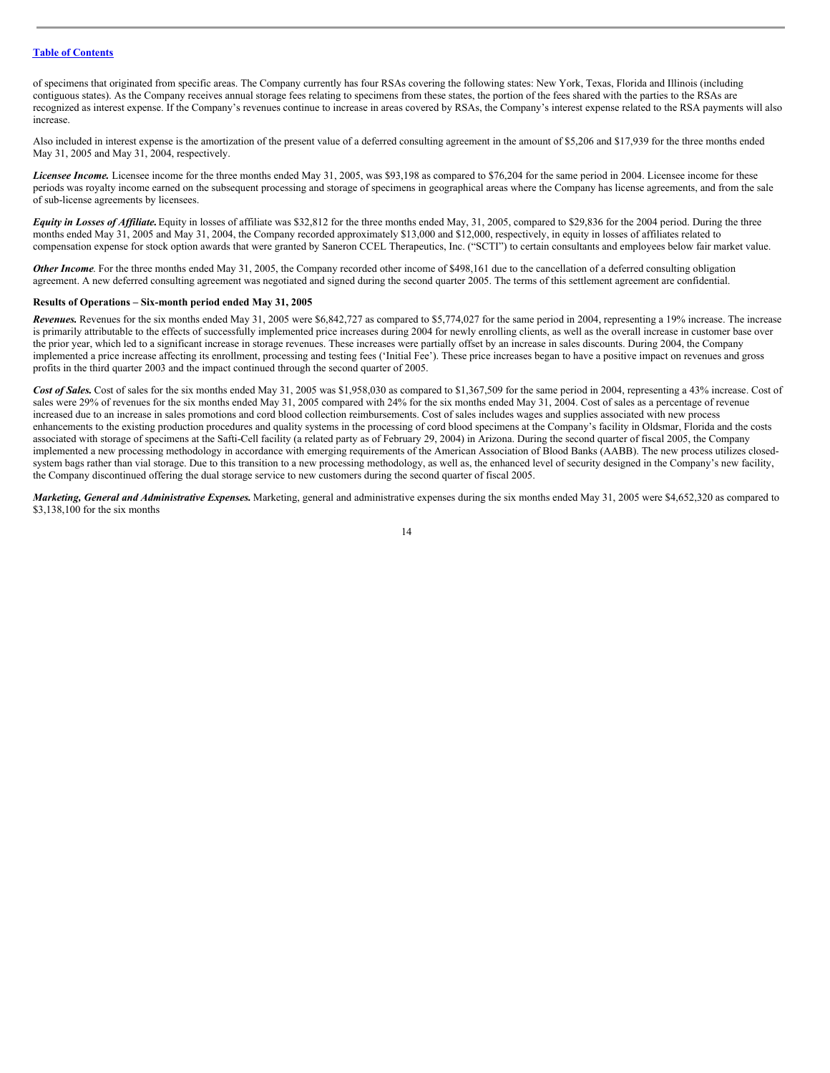of specimens that originated from specific areas. The Company currently has four RSAs covering the following states: New York, Texas, Florida and Illinois (including contiguous states). As the Company receives annual storage fees relating to specimens from these states, the portion of the fees shared with the parties to the RSAs are recognized as interest expense. If the Company's revenues continue to increase in areas covered by RSAs, the Company's interest expense related to the RSA payments will also increase.

Also included in interest expense is the amortization of the present value of a deferred consulting agreement in the amount of \$5,206 and \$17,939 for the three months ended May 31, 2005 and May 31, 2004, respectively.

*Licensee Income.* Licensee income for the three months ended May 31, 2005, was \$93,198 as compared to \$76,204 for the same period in 2004. Licensee income for these periods was royalty income earned on the subsequent processing and storage of specimens in geographical areas where the Company has license agreements, and from the sale of sub-license agreements by licensees.

*Equity in Losses of Af iliate.*Equity in losses of affiliate was \$32,812 for the three months ended May, 31, 2005, compared to \$29,836 for the 2004 period. During the three months ended May 31, 2005 and May 31, 2004, the Company recorded approximately \$13,000 and \$12,000, respectively, in equity in losses of affiliates related to compensation expense for stock option awards that were granted by Saneron CCEL Therapeutics, Inc. ("SCTI") to certain consultants and employees below fair market value.

*Other Income*. For the three months ended May 31, 2005, the Company recorded other income of \$498,161 due to the cancellation of a deferred consulting obligation agreement. A new deferred consulting agreement was negotiated and signed during the second quarter 2005. The terms of this settlement agreement are confidential.

## **Results of Operations – Six-month period ended May 31, 2005**

*Revenues.* Revenues for the six months ended May 31, 2005 were \$6,842,727 as compared to \$5,774,027 for the same period in 2004, representing a 19% increase. The increase is primarily attributable to the effects of successfully implemented price increases during 2004 for newly enrolling clients, as well as the overall increase in customer base over the prior year, which led to a significant increase in storage revenues. These increases were partially offset by an increase in sales discounts. During 2004, the Company implemented a price increase affecting its enrollment, processing and testing fees ('Initial Fee'). These price increases began to have a positive impact on revenues and gross profits in the third quarter 2003 and the impact continued through the second quarter of 2005.

Cost of Sales. Cost of sales for the six months ended May 31, 2005 was \$1,958,030 as compared to \$1,367,509 for the same period in 2004, representing a 43% increase. Cost of sales were 29% of revenues for the six months ended May 31, 2005 compared with 24% for the six months ended May 31, 2004. Cost of sales as a percentage of revenue increased due to an increase in sales promotions and cord blood collection reimbursements. Cost of sales includes wages and supplies associated with new process enhancements to the existing production procedures and quality systems in the processing of cord blood specimens at the Company's facility in Oldsmar, Florida and the costs associated with storage of specimens at the Safti-Cell facility (a related party as of February 29, 2004) in Arizona. During the second quarter of fiscal 2005, the Company implemented a new processing methodology in accordance with emerging requirements of the American Association of Blood Banks (AABB). The new process utilizes closedsystem bags rather than vial storage. Due to this transition to a new processing methodology, as well as, the enhanced level of security designed in the Company's new facility, the Company discontinued offering the dual storage service to new customers during the second quarter of fiscal 2005.

*Marketing, General and Administrative Expenses.* Marketing, general and administrative expenses during the six months ended May 31, 2005 were \$4,652,320 as compared to \$3,138,100 for the six months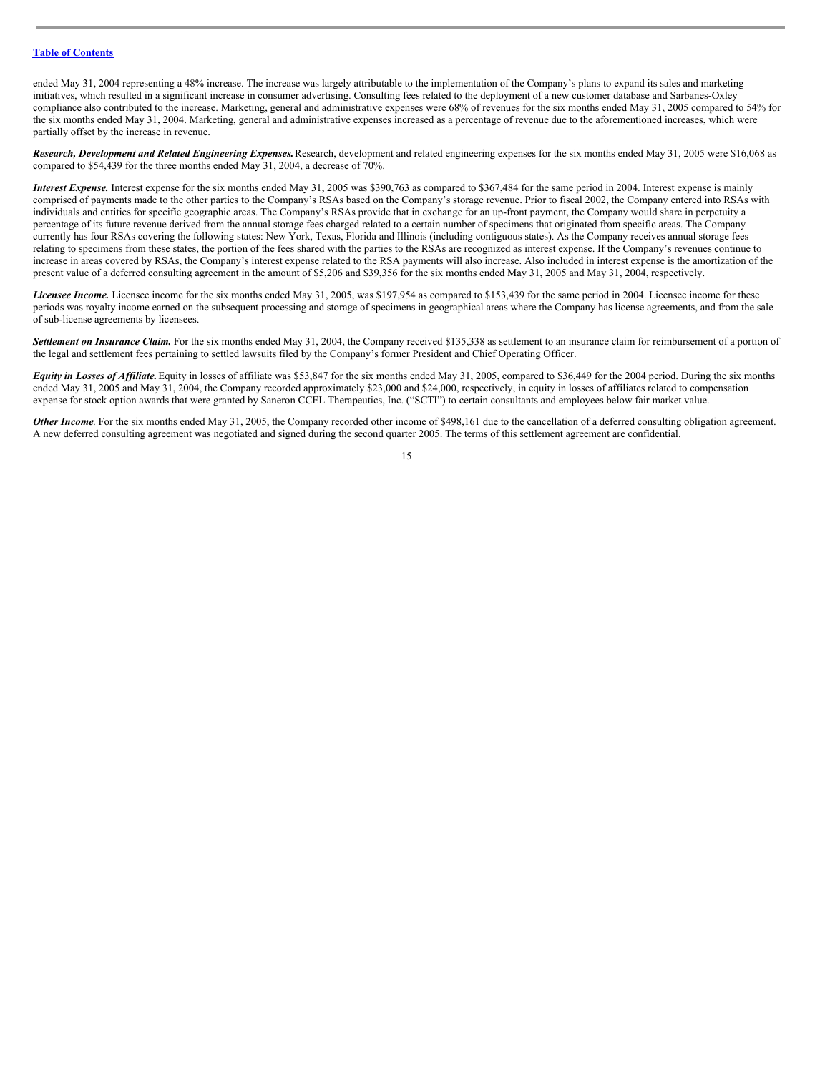ended May 31, 2004 representing a 48% increase. The increase was largely attributable to the implementation of the Company's plans to expand its sales and marketing initiatives, which resulted in a significant increase in consumer advertising. Consulting fees related to the deployment of a new customer database and Sarbanes-Oxley compliance also contributed to the increase. Marketing, general and administrative expenses were 68% of revenues for the six months ended May 31, 2005 compared to 54% for the six months ended May 31, 2004. Marketing, general and administrative expenses increased as a percentage of revenue due to the aforementioned increases, which were partially offset by the increase in revenue.

*Research, Development and Related Engineering Expenses.*Research, development and related engineering expenses for the six months ended May 31, 2005 were \$16,068 as compared to \$54,439 for the three months ended May 31, 2004, a decrease of 70%.

*Interest Expense.* Interest expense for the six months ended May 31, 2005 was \$390,763 as compared to \$367,484 for the same period in 2004. Interest expense is mainly comprised of payments made to the other parties to the Company's RSAs based on the Company's storage revenue. Prior to fiscal 2002, the Company entered into RSAs with individuals and entities for specific geographic areas. The Company's RSAs provide that in exchange for an up-front payment, the Company would share in perpetuity a percentage of its future revenue derived from the annual storage fees charged related to a certain number of specimens that originated from specific areas. The Company currently has four RSAs covering the following states: New York, Texas, Florida and Illinois (including contiguous states). As the Company receives annual storage fees relating to specimens from these states, the portion of the fees shared with the parties to the RSAs are recognized as interest expense. If the Company's revenues continue to increase in areas covered by RSAs, the Company's interest expense related to the RSA payments will also increase. Also included in interest expense is the amortization of the present value of a deferred consulting agreement in the amount of \$5,206 and \$39,356 for the six months ended May 31, 2005 and May 31, 2004, respectively.

*Licensee Income.* Licensee income for the six months ended May 31, 2005, was \$197,954 as compared to \$153,439 for the same period in 2004. Licensee income for these periods was royalty income earned on the subsequent processing and storage of specimens in geographical areas where the Company has license agreements, and from the sale of sub-license agreements by licensees.

Settlement on Insurance Claim. For the six months ended May 31, 2004, the Company received \$135,338 as settlement to an insurance claim for reimbursement of a portion of the legal and settlement fees pertaining to settled lawsuits filed by the Company's former President and Chief Operating Officer.

*Equity in Losses of Af iliate.*Equity in losses of affiliate was \$53,847 for the six months ended May 31, 2005, compared to \$36,449 for the 2004 period. During the six months ended May 31, 2005 and May 31, 2004, the Company recorded approximately \$23,000 and \$24,000, respectively, in equity in losses of affiliates related to compensation expense for stock option awards that were granted by Saneron CCEL Therapeutics, Inc. ("SCTI") to certain consultants and employees below fair market value.

**Other Income**. For the six months ended May 31, 2005, the Company recorded other income of \$498,161 due to the cancellation of a deferred consulting obligation agreement. A new deferred consulting agreement was negotiated and signed during the second quarter 2005. The terms of this settlement agreement are confidential.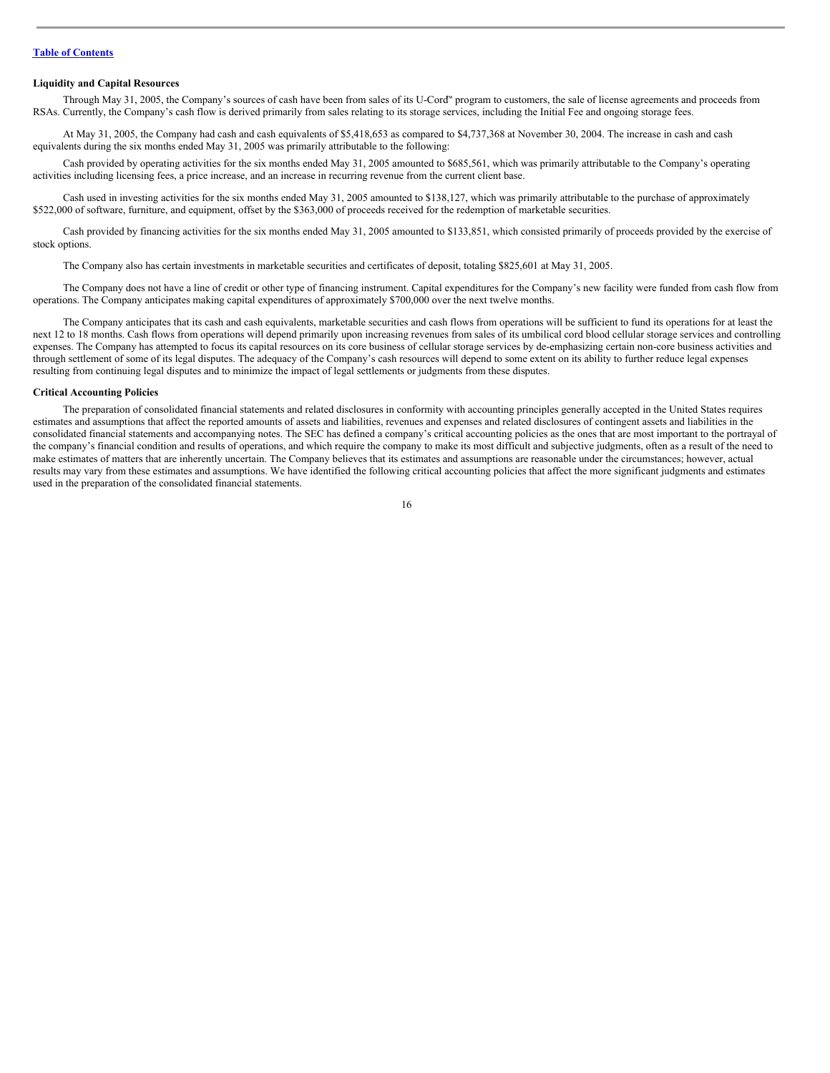## **Liquidity and Capital Resources**

Through May 31, 2005, the Company's sources of cash have been from sales of its U-Cord™ program to customers, the sale of license agreements and proceeds from RSAs. Currently, the Company's cash flow is derived primarily from sales relating to its storage services, including the Initial Fee and ongoing storage fees.

At May 31, 2005, the Company had cash and cash equivalents of \$5,418,653 as compared to \$4,737,368 at November 30, 2004. The increase in cash and cash equivalents during the six months ended May 31, 2005 was primarily attributable to the following:

Cash provided by operating activities for the six months ended May 31, 2005 amounted to \$685,561, which was primarily attributable to the Company's operating activities including licensing fees, a price increase, and an increase in recurring revenue from the current client base.

Cash used in investing activities for the six months ended May 31, 2005 amounted to \$138,127, which was primarily attributable to the purchase of approximately \$522,000 of software, furniture, and equipment, offset by the \$363,000 of proceeds received for the redemption of marketable securities.

Cash provided by financing activities for the six months ended May 31, 2005 amounted to \$133,851, which consisted primarily of proceeds provided by the exercise of stock options.

The Company also has certain investments in marketable securities and certificates of deposit, totaling \$825,601 at May 31, 2005.

The Company does not have a line of credit or other type of financing instrument. Capital expenditures for the Company's new facility were funded from cash flow from operations. The Company anticipates making capital expenditures of approximately \$700,000 over the next twelve months.

The Company anticipates that its cash and cash equivalents, marketable securities and cash flows from operations will be sufficient to fund its operations for at least the next 12 to 18 months. Cash flows from operations will depend primarily upon increasing revenues from sales of its umbilical cord blood cellular storage services and controlling expenses. The Company has attempted to focus its capital resources on its core business of cellular storage services by de-emphasizing certain non-core business activities and through settlement of some of its legal disputes. The adequacy of the Company's cash resources will depend to some extent on its ability to further reduce legal expenses resulting from continuing legal disputes and to minimize the impact of legal settlements or judgments from these disputes.

## **Critical Accounting Policies**

The preparation of consolidated financial statements and related disclosures in conformity with accounting principles generally accepted in the United States requires estimates and assumptions that affect the reported amounts of assets and liabilities, revenues and expenses and related disclosures of contingent assets and liabilities in the consolidated financial statements and accompanying notes. The SEC has defined a company's critical accounting policies as the ones that are most important to the portrayal of the company's financial condition and results of operations, and which require the company to make its most difficult and subjective judgments, often as a result of the need to make estimates of matters that are inherently uncertain. The Company believes that its estimates and assumptions are reasonable under the circumstances; however, actual results may vary from these estimates and assumptions. We have identified the following critical accounting policies that affect the more significant judgments and estimates used in the preparation of the consolidated financial statements.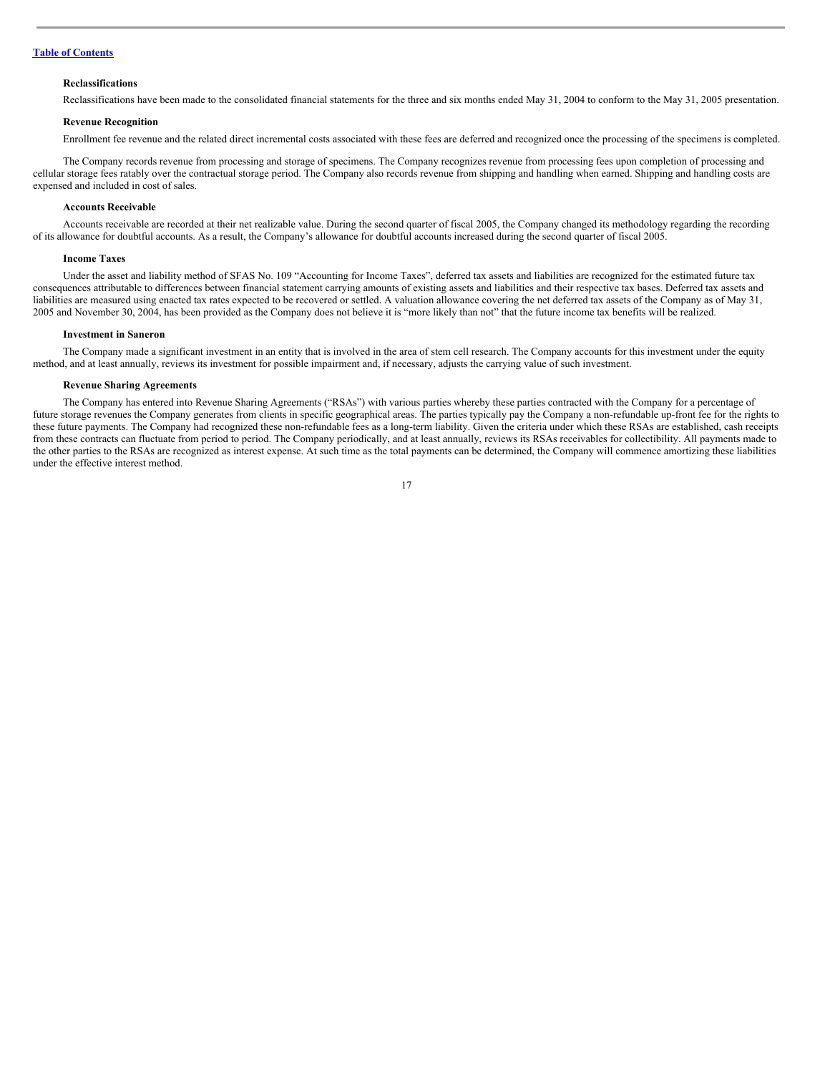## **Reclassifications**

Reclassifications have been made to the consolidated financial statements for the three and six months ended May 31, 2004 to conform to the May 31, 2005 presentation.

#### **Revenue Recognition**

Enrollment fee revenue and the related direct incremental costs associated with these fees are deferred and recognized once the processing of the specimens is completed.

The Company records revenue from processing and storage of specimens. The Company recognizes revenue from processing fees upon completion of processing and cellular storage fees ratably over the contractual storage period. The Company also records revenue from shipping and handling when earned. Shipping and handling costs are expensed and included in cost of sales.

## **Accounts Receivable**

Accounts receivable are recorded at their net realizable value. During the second quarter of fiscal 2005, the Company changed its methodology regarding the recording of its allowance for doubtful accounts. As a result, the Company's allowance for doubtful accounts increased during the second quarter of fiscal 2005.

#### **Income Taxes**

Under the asset and liability method of SFAS No. 109 "Accounting for Income Taxes", deferred tax assets and liabilities are recognized for the estimated future tax consequences attributable to differences between financial statement carrying amounts of existing assets and liabilities and their respective tax bases. Deferred tax assets and liabilities are measured using enacted tax rates expected to be recovered or settled. A valuation allowance covering the net deferred tax assets of the Company as of May 31, 2005 and November 30, 2004, has been provided as the Company does not believe it is "more likely than not" that the future income tax benefits will be realized.

#### **Investment in Saneron**

The Company made a significant investment in an entity that is involved in the area of stem cell research. The Company accounts for this investment under the equity method, and at least annually, reviews its investment for possible impairment and, if necessary, adjusts the carrying value of such investment.

#### **Revenue Sharing Agreements**

The Company has entered into Revenue Sharing Agreements ("RSAs") with various parties whereby these parties contracted with the Company for a percentage of future storage revenues the Company generates from clients in specific geographical areas. The parties typically pay the Company a non-refundable up-front fee for the rights to these future payments. The Company had recognized these non-refundable fees as a long-term liability. Given the criteria under which these RSAs are established, cash receipts from these contracts can fluctuate from period to period. The Company periodically, and at least annually, reviews its RSAs receivables for collectibility. All payments made to the other parties to the RSAs are recognized as interest expense. At such time as the total payments can be determined, the Company will commence amortizing these liabilities under the effective interest method.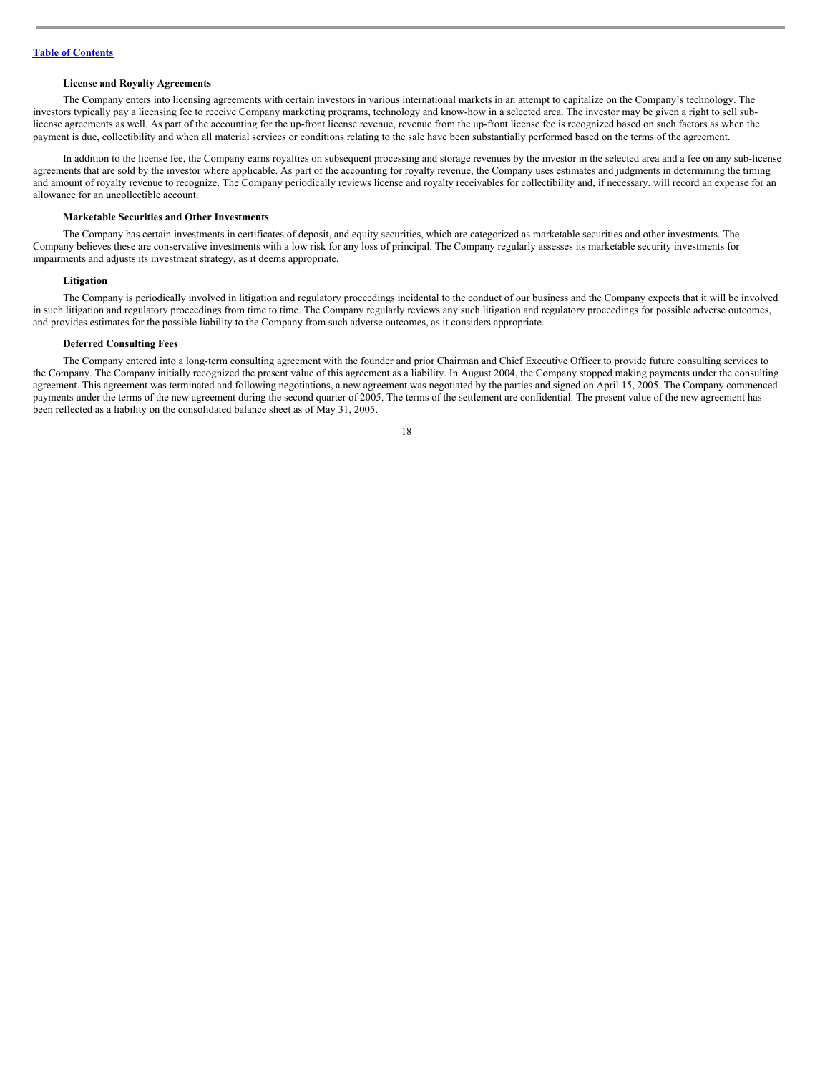## **License and Royalty Agreements**

The Company enters into licensing agreements with certain investors in various international markets in an attempt to capitalize on the Company's technology. The investors typically pay a licensing fee to receive Company marketing programs, technology and know-how in a selected area. The investor may be given a right to sell sublicense agreements as well. As part of the accounting for the up-front license revenue, revenue from the up-front license fee is recognized based on such factors as when the payment is due, collectibility and when all material services or conditions relating to the sale have been substantially performed based on the terms of the agreement.

In addition to the license fee, the Company earns royalties on subsequent processing and storage revenues by the investor in the selected area and a fee on any sub-license agreements that are sold by the investor where applicable. As part of the accounting for royalty revenue, the Company uses estimates and judgments in determining the timing and amount of royalty revenue to recognize. The Company periodically reviews license and royalty receivables for collectibility and, if necessary, will record an expense for an allowance for an uncollectible account.

## **Marketable Securities and Other Investments**

The Company has certain investments in certificates of deposit, and equity securities, which are categorized as marketable securities and other investments. The Company believes these are conservative investments with a low risk for any loss of principal. The Company regularly assesses its marketable security investments for impairments and adjusts its investment strategy, as it deems appropriate.

## **Litigation**

The Company is periodically involved in litigation and regulatory proceedings incidental to the conduct of our business and the Company expects that it will be involved in such litigation and regulatory proceedings from time to time. The Company regularly reviews any such litigation and regulatory proceedings for possible adverse outcomes, and provides estimates for the possible liability to the Company from such adverse outcomes, as it considers appropriate.

## **Deferred Consulting Fees**

The Company entered into a long-term consulting agreement with the founder and prior Chairman and Chief Executive Officer to provide future consulting services to the Company. The Company initially recognized the present value of this agreement as a liability. In August 2004, the Company stopped making payments under the consulting agreement. This agreement was terminated and following negotiations, a new agreement was negotiated by the parties and signed on April 15, 2005. The Company commenced payments under the terms of the new agreement during the second quarter of 2005. The terms of the settlement are confidential. The present value of the new agreement has been reflected as a liability on the consolidated balance sheet as of May 31, 2005.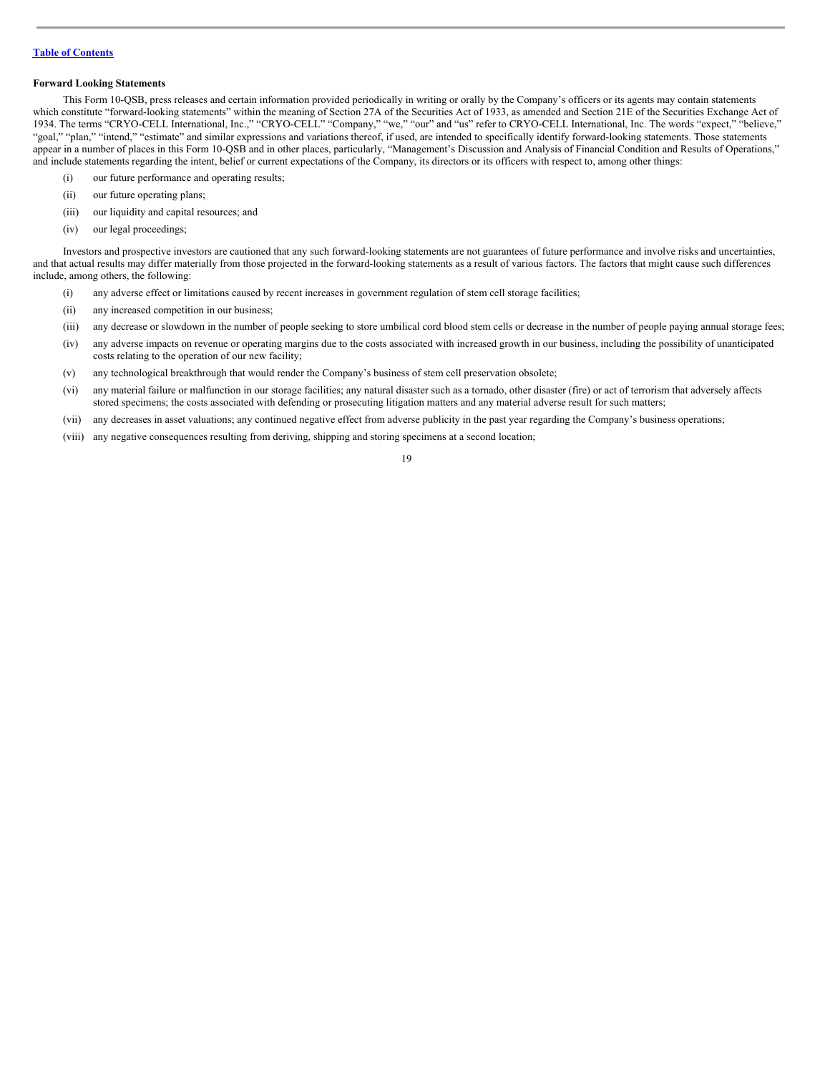## **Forward Looking Statements**

This Form 10-QSB, press releases and certain information provided periodically in writing or orally by the Company's officers or its agents may contain statements which constitute "forward-looking statements" within the meaning of Section 27A of the Securities Act of 1933, as amended and Section 21E of the Securities Exchange Act of 1934. The terms "CRYO-CELL International, Inc.," "CRYO-CELL" "Company," "we," "our" and "us" refer to CRYO-CELL International, Inc. The words "expect," "believe," "goal," "plan," "intend," "estimate" and similar expressions and variations thereof, if used, are intended to specifically identify forward-looking statements. Those statements appear in a number of places in this Form 10-QSB and in other places, particularly, "Management's Discussion and Analysis of Financial Condition and Results of Operations," and include statements regarding the intent, belief or current expectations of the Company, its directors or its officers with respect to, among other things:

- (i) our future performance and operating results;
- (ii) our future operating plans;
- (iii) our liquidity and capital resources; and
- (iv) our legal proceedings;

Investors and prospective investors are cautioned that any such forward-looking statements are not guarantees of future performance and involve risks and uncertainties, and that actual results may differ materially from those projected in the forward-looking statements as a result of various factors. The factors that might cause such differences include, among others, the following:

- (i) any adverse effect or limitations caused by recent increases in government regulation of stem cell storage facilities;
- (ii) any increased competition in our business;
- (iii) any decrease or slowdown in the number of people seeking to store umbilical cord blood stem cells or decrease in the number of people paying annual storage fees;
- (iv) any adverse impacts on revenue or operating margins due to the costs associated with increased growth in our business, including the possibility of unanticipated costs relating to the operation of our new facility;
- (v) any technological breakthrough that would render the Company's business of stem cell preservation obsolete;
- (vi) any material failure or malfunction in our storage facilities; any natural disaster such as a tornado, other disaster (fire) or act of terrorism that adversely affects stored specimens; the costs associated with defending or prosecuting litigation matters and any material adverse result for such matters;
- (vii) any decreases in asset valuations; any continued negative effect from adverse publicity in the past year regarding the Company's business operations;
- (viii) any negative consequences resulting from deriving, shipping and storing specimens at a second location;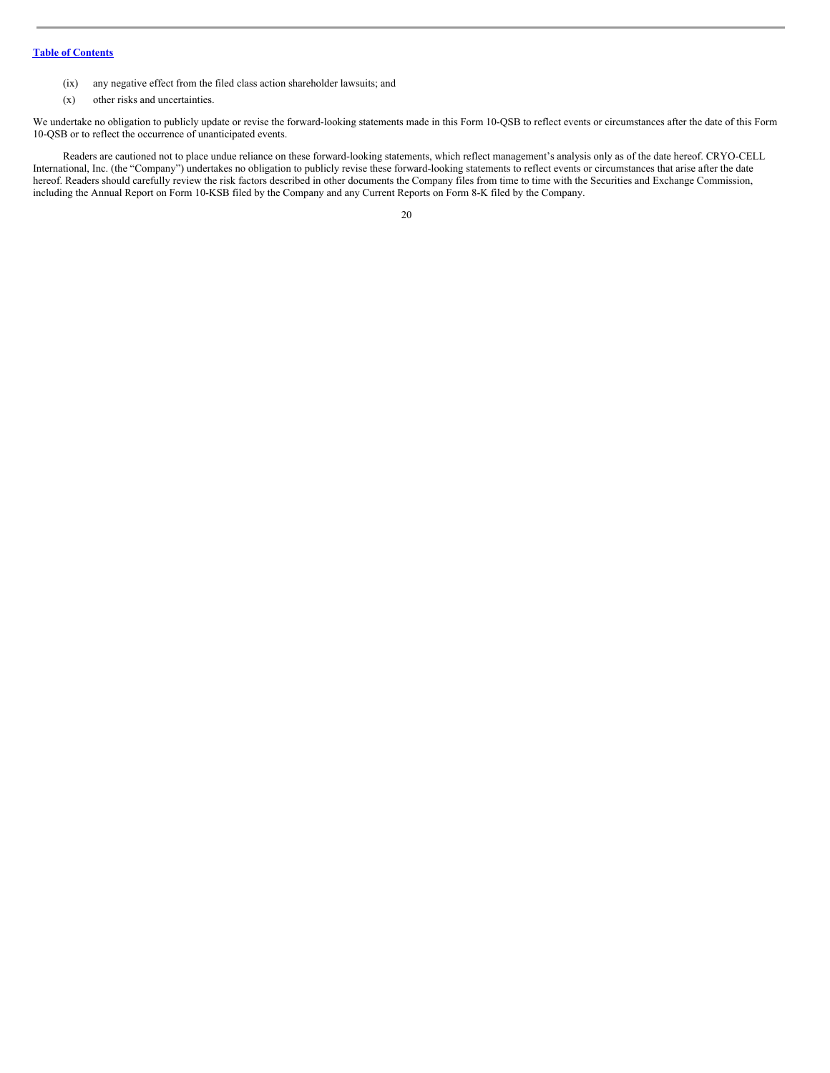- (ix) any negative effect from the filed class action shareholder lawsuits; and
- (x) other risks and uncertainties.

We undertake no obligation to publicly update or revise the forward-looking statements made in this Form 10-QSB to reflect events or circumstances after the date of this Form 10-QSB or to reflect the occurrence of unanticipated events.

Readers are cautioned not to place undue reliance on these forward-looking statements, which reflect management's analysis only as of the date hereof. CRYO-CELL International, Inc. (the "Company") undertakes no obligation to publicly revise these forward-looking statements to reflect events or circumstances that arise after the date hereof. Readers should carefully review the risk factors described in other documents the Company files from time to time with the Securities and Exchange Commission, including the Annual Report on Form 10-KSB filed by the Company and any Current Reports on Form 8-K filed by the Company.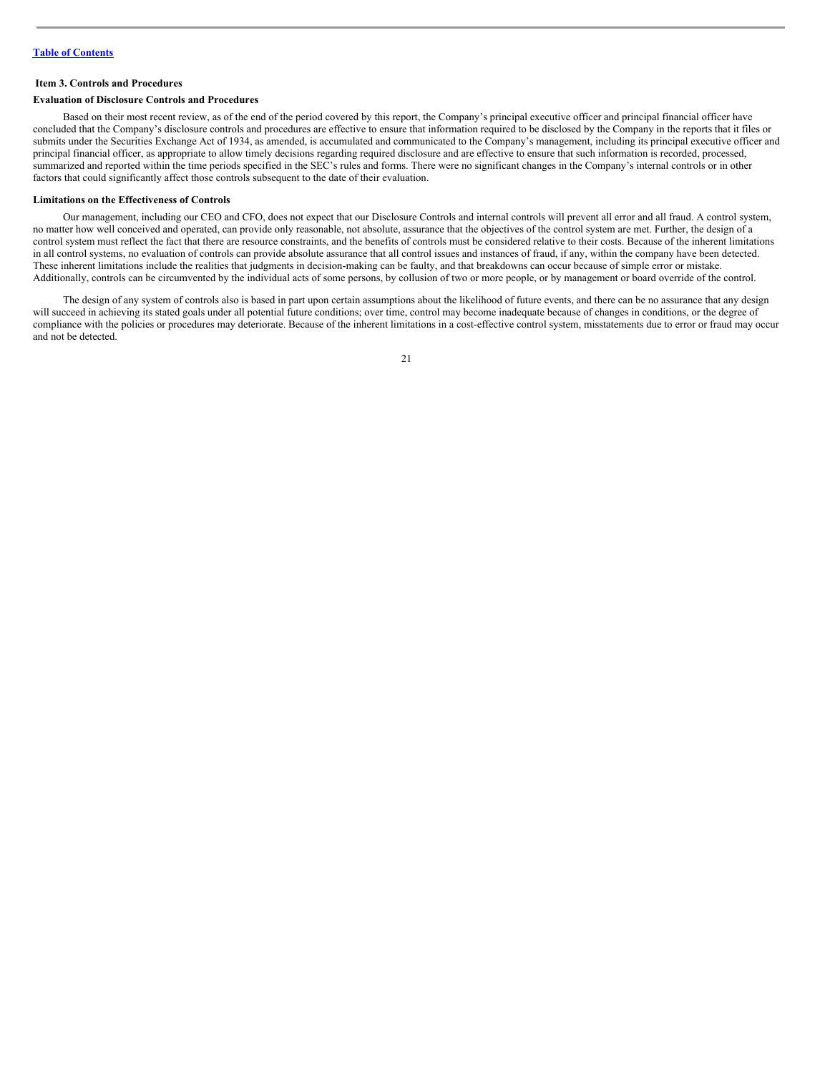## <span id="page-20-0"></span>**Item 3. Controls and Procedures**

#### **Evaluation of Disclosure Controls and Procedures**

Based on their most recent review, as of the end of the period covered by this report, the Company's principal executive officer and principal financial officer have concluded that the Company's disclosure controls and procedures are effective to ensure that information required to be disclosed by the Company in the reports that it files or submits under the Securities Exchange Act of 1934, as amended, is accumulated and communicated to the Company's management, including its principal executive officer and principal financial officer, as appropriate to allow timely decisions regarding required disclosure and are effective to ensure that such information is recorded, processed, summarized and reported within the time periods specified in the SEC's rules and forms. There were no significant changes in the Company's internal controls or in other factors that could significantly affect those controls subsequent to the date of their evaluation.

## **Limitations on the Effectiveness of Controls**

Our management, including our CEO and CFO, does not expect that our Disclosure Controls and internal controls will prevent all error and all fraud. A control system, no matter how well conceived and operated, can provide only reasonable, not absolute, assurance that the objectives of the control system are met. Further, the design of a control system must reflect the fact that there are resource constraints, and the benefits of controls must be considered relative to their costs. Because of the inherent limitations in all control systems, no evaluation of controls can provide absolute assurance that all control issues and instances of fraud, if any, within the company have been detected. These inherent limitations include the realities that judgments in decision-making can be faulty, and that breakdowns can occur because of simple error or mistake. Additionally, controls can be circumvented by the individual acts of some persons, by collusion of two or more people, or by management or board override of the control.

The design of any system of controls also is based in part upon certain assumptions about the likelihood of future events, and there can be no assurance that any design will succeed in achieving its stated goals under all potential future conditions; over time, control may become inadequate because of changes in conditions, or the degree of compliance with the policies or procedures may deteriorate. Because of the inherent limitations in a cost-effective control system, misstatements due to error or fraud may occur and not be detected.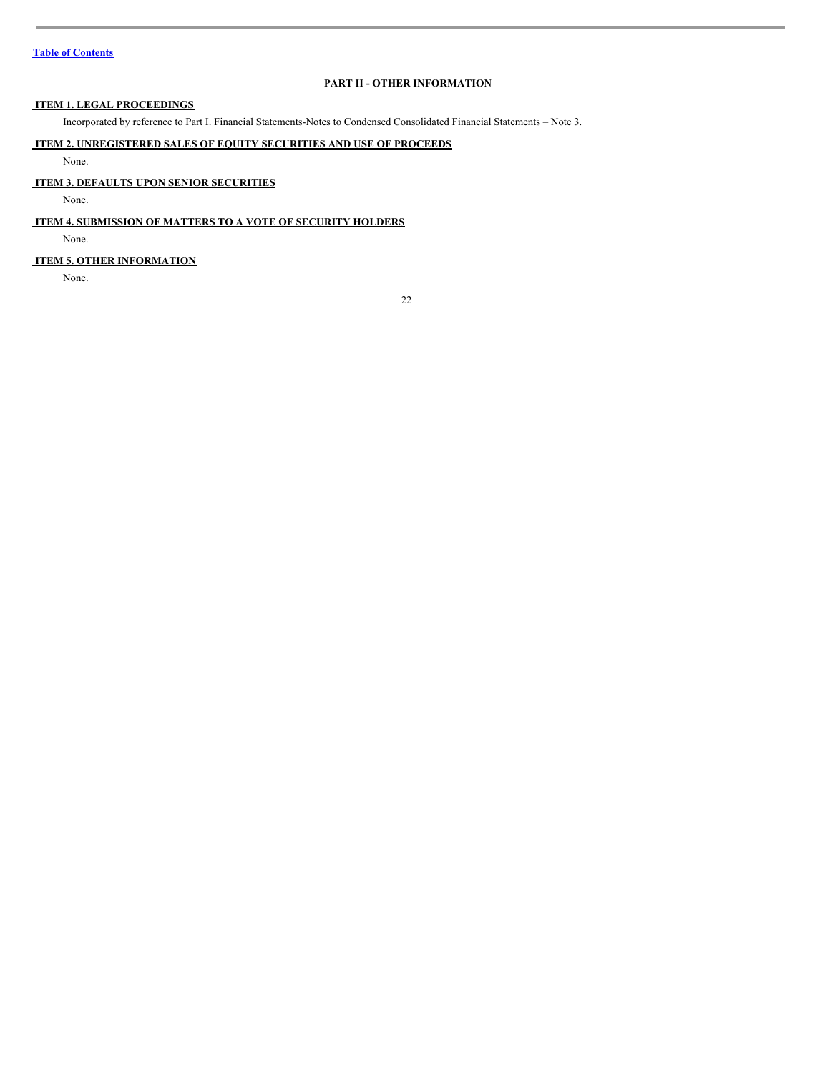## <span id="page-21-0"></span>**PART II - OTHER INFORMATION**

## <span id="page-21-1"></span>**ITEM 1. LEGAL PROCEEDINGS**

Incorporated by reference to Part I. Financial Statements-Notes to Condensed Consolidated Financial Statements – Note 3.

## <span id="page-21-2"></span>**ITEM 2. UNREGISTERED SALES OF EQUITY SECURITIES AND USE OF PROCEEDS**

None.

## <span id="page-21-3"></span>**ITEM 3. DEFAULTS UPON SENIOR SECURITIES**

None.

## <span id="page-21-4"></span>**ITEM 4. SUBMISSION OF MATTERS TO A VOTE OF SECURITY HOLDERS**

None.

## <span id="page-21-5"></span>**ITEM 5. OTHER INFORMATION**

None.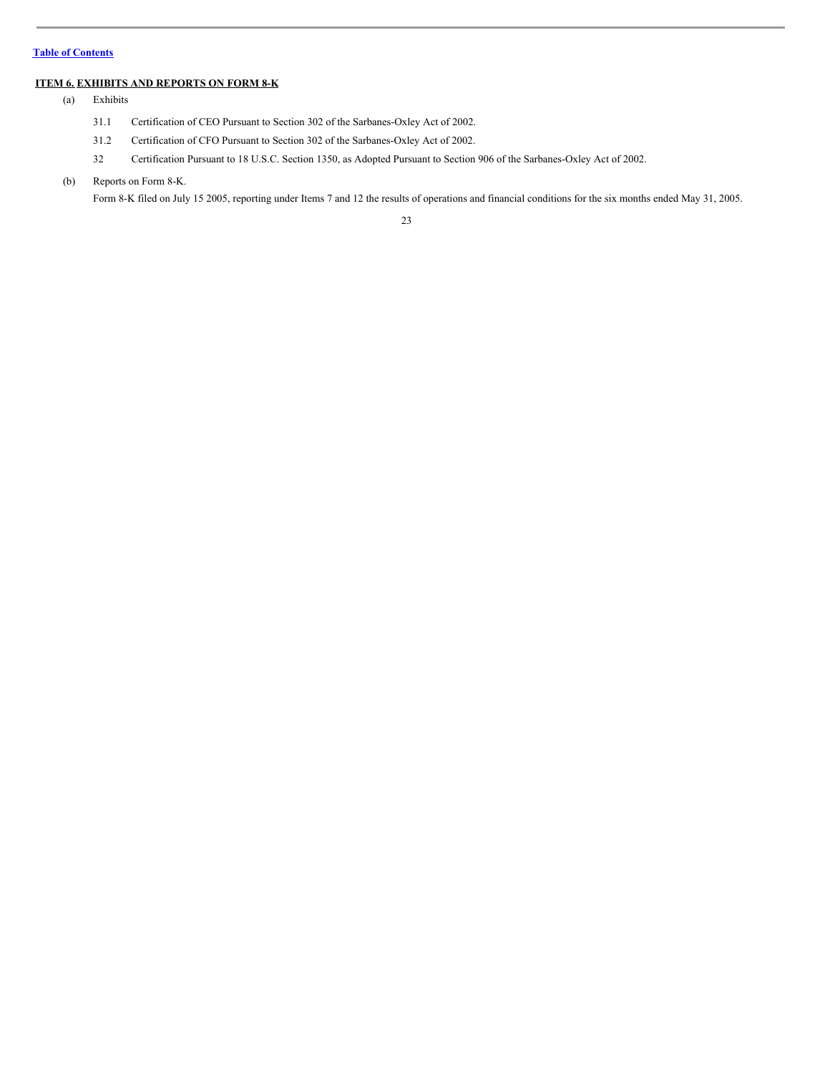## <span id="page-22-0"></span>**ITEM 6. EXHIBITS AND REPORTS ON FORM 8-K**

- (a) Exhibits
	- 31.1 Certification of CEO Pursuant to Section 302 of the Sarbanes-Oxley Act of 2002.
	- 31.2 Certification of CFO Pursuant to Section 302 of the Sarbanes-Oxley Act of 2002.
	- 32 Certification Pursuant to 18 U.S.C. Section 1350, as Adopted Pursuant to Section 906 of the Sarbanes-Oxley Act of 2002.
- (b) Reports on Form 8-K.

Form 8-K filed on July 15 2005, reporting under Items 7 and 12 the results of operations and financial conditions for the six months ended May 31, 2005.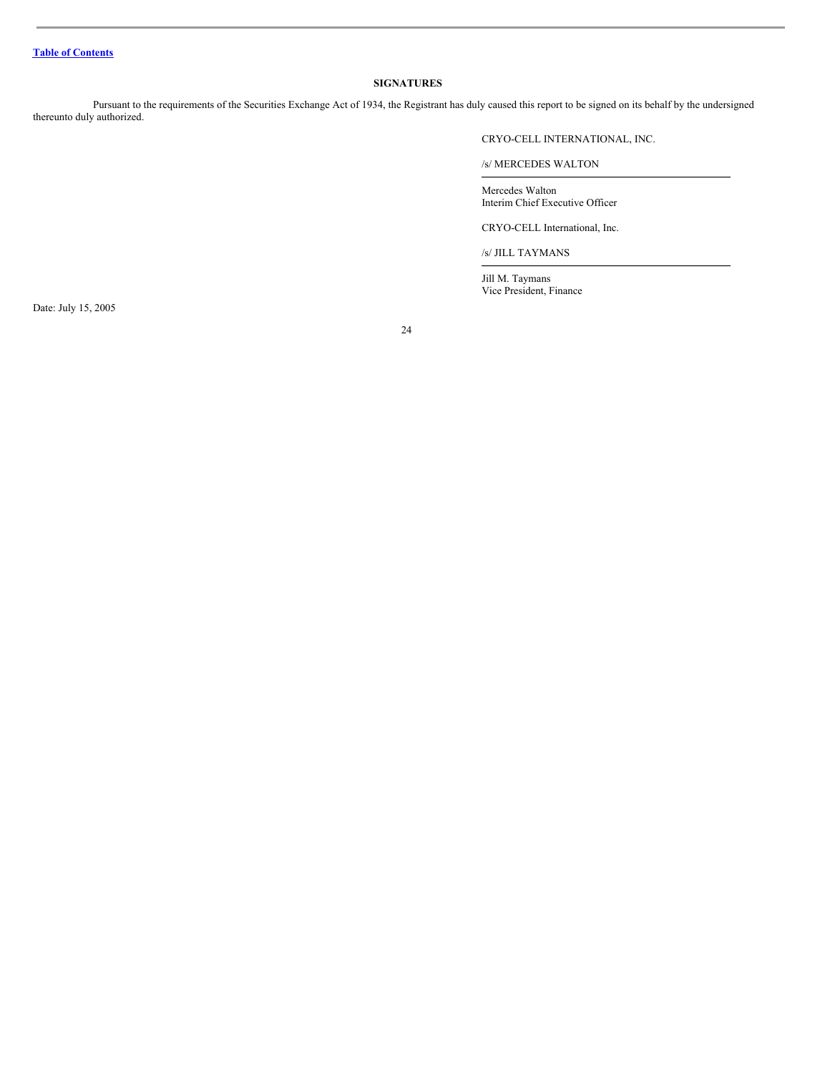## <span id="page-23-0"></span>**SIGNATURES**

Pursuant to the requirements of the Securities Exchange Act of 1934, the Registrant has duly caused this report to be signed on its behalf by the undersigned thereunto duly authorized.

CRYO-CELL INTERNATIONAL, INC.

/s/ MERCEDES WALTON

Mercedes Walton Interim Chief Executive Officer

CRYO-CELL International, Inc.

/s/ JILL TAYMANS

Jill M. Taymans Vice President, Finance

Date: July 15, 2005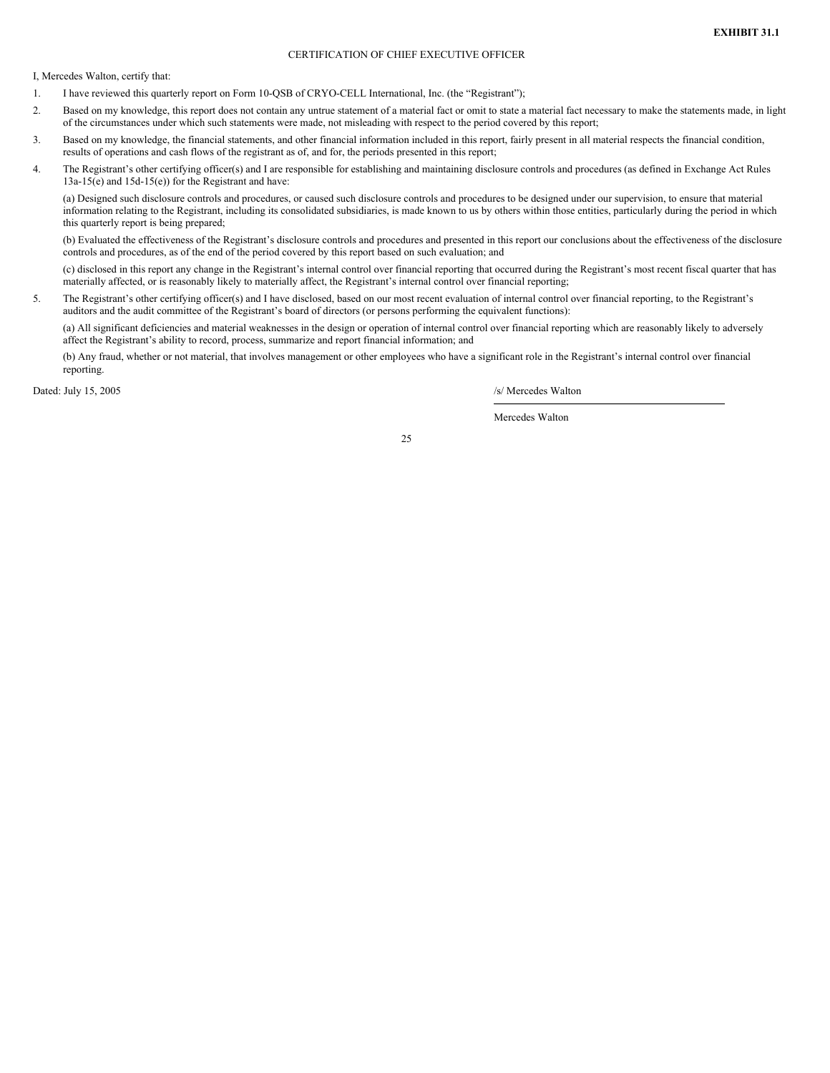## CERTIFICATION OF CHIEF EXECUTIVE OFFICER

I, Mercedes Walton, certify that:

- 1. I have reviewed this quarterly report on Form 10-QSB of CRYO-CELL International, Inc. (the "Registrant");
- 2. Based on my knowledge, this report does not contain any untrue statement of a material fact or omit to state a material fact necessary to make the statements made, in light of the circumstances under which such statements were made, not misleading with respect to the period covered by this report;
- 3. Based on my knowledge, the financial statements, and other financial information included in this report, fairly present in all material respects the financial condition, results of operations and cash flows of the registrant as of, and for, the periods presented in this report;
- 4. The Registrant's other certifying officer(s) and I are responsible for establishing and maintaining disclosure controls and procedures (as defined in Exchange Act Rules 13a-15(e) and 15d-15(e)) for the Registrant and have:

(a) Designed such disclosure controls and procedures, or caused such disclosure controls and procedures to be designed under our supervision, to ensure that material information relating to the Registrant, including its consolidated subsidiaries, is made known to us by others within those entities, particularly during the period in which this quarterly report is being prepared;

(b) Evaluated the effectiveness of the Registrant's disclosure controls and procedures and presented in this report our conclusions about the effectiveness of the disclosure controls and procedures, as of the end of the period covered by this report based on such evaluation; and

(c) disclosed in this report any change in the Registrant's internal control over financial reporting that occurred during the Registrant's most recent fiscal quarter that has materially affected, or is reasonably likely to materially affect, the Registrant's internal control over financial reporting;

5. The Registrant's other certifying officer(s) and I have disclosed, based on our most recent evaluation of internal control over financial reporting, to the Registrant's auditors and the audit committee of the Registrant's board of directors (or persons performing the equivalent functions):

(a) All significant deficiencies and material weaknesses in the design or operation of internal control over financial reporting which are reasonably likely to adversely affect the Registrant's ability to record, process, summarize and report financial information; and

(b) Any fraud, whether or not material, that involves management or other employees who have a significant role in the Registrant's internal control over financial reporting.

Dated: July 15, 2005 /s/ Mercedes Walton

Mercedes Walton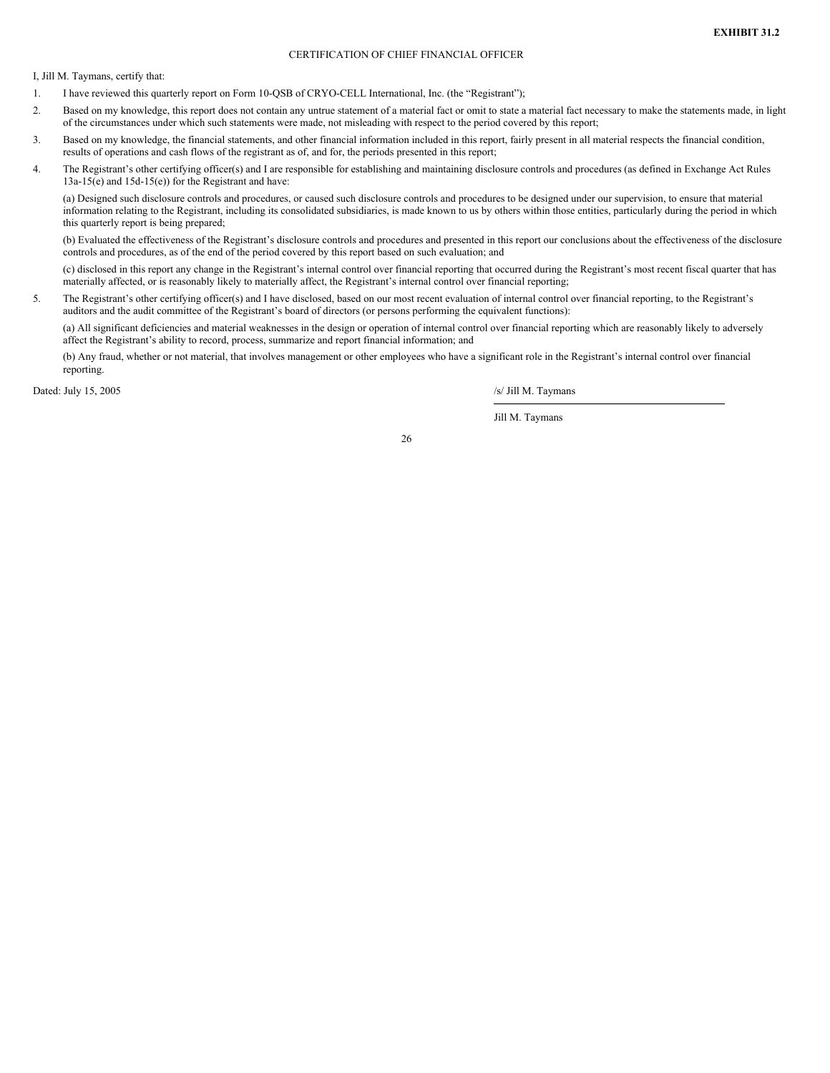## CERTIFICATION OF CHIEF FINANCIAL OFFICER

I, Jill M. Taymans, certify that:

- 1. I have reviewed this quarterly report on Form 10-QSB of CRYO-CELL International, Inc. (the "Registrant");
- 2. Based on my knowledge, this report does not contain any untrue statement of a material fact or omit to state a material fact necessary to make the statements made, in light of the circumstances under which such statements were made, not misleading with respect to the period covered by this report;
- 3. Based on my knowledge, the financial statements, and other financial information included in this report, fairly present in all material respects the financial condition, results of operations and cash flows of the registrant as of, and for, the periods presented in this report;
- 4. The Registrant's other certifying officer(s) and I are responsible for establishing and maintaining disclosure controls and procedures (as defined in Exchange Act Rules 13a-15(e) and 15d-15(e)) for the Registrant and have:

(a) Designed such disclosure controls and procedures, or caused such disclosure controls and procedures to be designed under our supervision, to ensure that material information relating to the Registrant, including its consolidated subsidiaries, is made known to us by others within those entities, particularly during the period in which this quarterly report is being prepared;

(b) Evaluated the effectiveness of the Registrant's disclosure controls and procedures and presented in this report our conclusions about the effectiveness of the disclosure controls and procedures, as of the end of the period covered by this report based on such evaluation; and

(c) disclosed in this report any change in the Registrant's internal control over financial reporting that occurred during the Registrant's most recent fiscal quarter that has materially affected, or is reasonably likely to materially affect, the Registrant's internal control over financial reporting;

5. The Registrant's other certifying officer(s) and I have disclosed, based on our most recent evaluation of internal control over financial reporting, to the Registrant's auditors and the audit committee of the Registrant's board of directors (or persons performing the equivalent functions):

(a) All significant deficiencies and material weaknesses in the design or operation of internal control over financial reporting which are reasonably likely to adversely affect the Registrant's ability to record, process, summarize and report financial information; and

(b) Any fraud, whether or not material, that involves management or other employees who have a significant role in the Registrant's internal control over financial reporting.

Dated: July 15, 2005 /s/ Jill M. Taymans

Jill M. Taymans